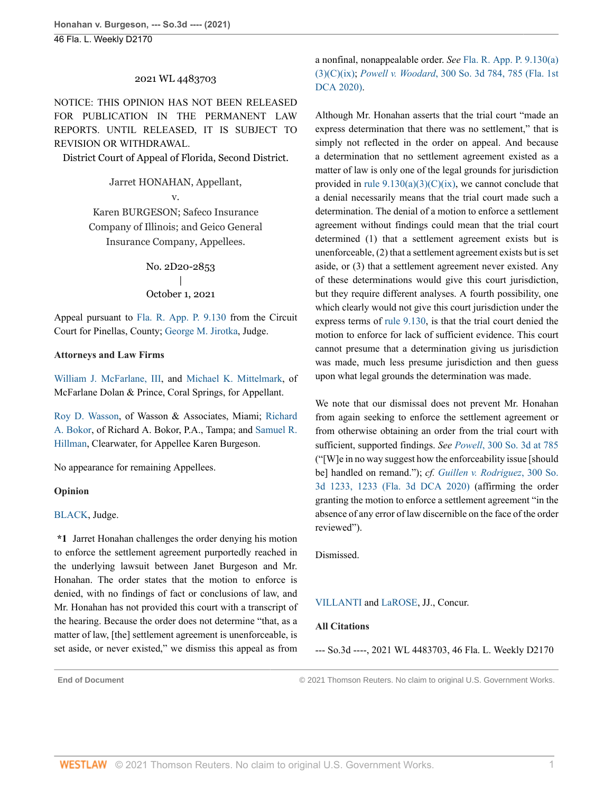## 2021 WL 4483703

NOTICE: THIS OPINION HAS NOT BEEN RELEASED FOR PUBLICATION IN THE PERMANENT LAW REPORTS. UNTIL RELEASED, IT IS SUBJECT TO REVISION OR WITHDRAWAL.

District Court of Appeal of Florida, Second District.

### Jarret HONAHAN, Appellant,

v.

Karen BURGESON; Safeco Insurance Company of Illinois; and Geico General Insurance Company, Appellees.

> No. 2D20-2853 | October 1, 2021

Appeal pursuant to [Fla. R. App. P. 9.130](http://www.westlaw.com/Link/Document/FullText?findType=L&pubNum=1005181&cite=FLSTRAPR9.130&originatingDoc=Ia974fbb022d411ec82c48db1050f9ba3&refType=LQ&originationContext=document&vr=3.0&rs=cblt1.0&transitionType=DocumentItem&contextData=(sc.Default)) from the Circuit Court for Pinellas, County; [George M. Jirotka,](http://www.westlaw.com/Link/Document/FullText?findType=h&pubNum=176284&cite=0164313301&originatingDoc=Ia974fbb022d411ec82c48db1050f9ba3&refType=RQ&originationContext=document&vr=3.0&rs=cblt1.0&transitionType=DocumentItem&contextData=(sc.Default)) Judge.

### **Attorneys and Law Firms**

[William J. McFarlane, III,](http://www.westlaw.com/Link/Document/FullText?findType=h&pubNum=176284&cite=0158982801&originatingDoc=Ia974fbb022d411ec82c48db1050f9ba3&refType=RQ&originationContext=document&vr=3.0&rs=cblt1.0&transitionType=DocumentItem&contextData=(sc.Default)) and [Michael K. Mittelmark,](http://www.westlaw.com/Link/Document/FullText?findType=h&pubNum=176284&cite=0256831701&originatingDoc=Ia974fbb022d411ec82c48db1050f9ba3&refType=RQ&originationContext=document&vr=3.0&rs=cblt1.0&transitionType=DocumentItem&contextData=(sc.Default)) of McFarlane Dolan & Prince, Coral Springs, for Appellant.

[Roy D. Wasson,](http://www.westlaw.com/Link/Document/FullText?findType=h&pubNum=176284&cite=0279931701&originatingDoc=Ia974fbb022d411ec82c48db1050f9ba3&refType=RQ&originationContext=document&vr=3.0&rs=cblt1.0&transitionType=DocumentItem&contextData=(sc.Default)) of Wasson & Associates, Miami; [Richard](http://www.westlaw.com/Link/Document/FullText?findType=h&pubNum=176284&cite=0289002401&originatingDoc=Ia974fbb022d411ec82c48db1050f9ba3&refType=RQ&originationContext=document&vr=3.0&rs=cblt1.0&transitionType=DocumentItem&contextData=(sc.Default)) [A. Bokor](http://www.westlaw.com/Link/Document/FullText?findType=h&pubNum=176284&cite=0289002401&originatingDoc=Ia974fbb022d411ec82c48db1050f9ba3&refType=RQ&originationContext=document&vr=3.0&rs=cblt1.0&transitionType=DocumentItem&contextData=(sc.Default)), of Richard A. Bokor, P.A., Tampa; and [Samuel R.](http://www.westlaw.com/Link/Document/FullText?findType=h&pubNum=176284&cite=0302105201&originatingDoc=Ia974fbb022d411ec82c48db1050f9ba3&refType=RQ&originationContext=document&vr=3.0&rs=cblt1.0&transitionType=DocumentItem&contextData=(sc.Default)) [Hillman,](http://www.westlaw.com/Link/Document/FullText?findType=h&pubNum=176284&cite=0302105201&originatingDoc=Ia974fbb022d411ec82c48db1050f9ba3&refType=RQ&originationContext=document&vr=3.0&rs=cblt1.0&transitionType=DocumentItem&contextData=(sc.Default)) Clearwater, for Appellee Karen Burgeson.

No appearance for remaining Appellees.

#### **Opinion**

# [BLACK,](http://www.westlaw.com/Link/Document/FullText?findType=h&pubNum=176284&cite=0163188801&originatingDoc=Ia974fbb022d411ec82c48db1050f9ba3&refType=RQ&originationContext=document&vr=3.0&rs=cblt1.0&transitionType=DocumentItem&contextData=(sc.Default)) Judge.

**\*1** Jarret Honahan challenges the order denying his motion to enforce the settlement agreement purportedly reached in the underlying lawsuit between Janet Burgeson and Mr. Honahan. The order states that the motion to enforce is denied, with no findings of fact or conclusions of law, and Mr. Honahan has not provided this court with a transcript of the hearing. Because the order does not determine "that, as a matter of law, [the] settlement agreement is unenforceable, is set aside, or never existed," we dismiss this appeal as from

a nonfinal, nonappealable order. *See* [Fla. R. App. P. 9.130\(a\)](http://www.westlaw.com/Link/Document/FullText?findType=L&pubNum=1005181&cite=FLSTRAPR9.130&originatingDoc=Ia974fbb022d411ec82c48db1050f9ba3&refType=LQ&originationContext=document&vr=3.0&rs=cblt1.0&transitionType=DocumentItem&contextData=(sc.Default)) [\(3\)\(C\)\(ix\)](http://www.westlaw.com/Link/Document/FullText?findType=L&pubNum=1005181&cite=FLSTRAPR9.130&originatingDoc=Ia974fbb022d411ec82c48db1050f9ba3&refType=LQ&originationContext=document&vr=3.0&rs=cblt1.0&transitionType=DocumentItem&contextData=(sc.Default)); *Powell v. Woodard*[, 300 So. 3d 784, 785 \(Fla. 1st](http://www.westlaw.com/Link/Document/FullText?findType=Y&serNum=2051314483&pubNum=0003926&originatingDoc=Ia974fbb022d411ec82c48db1050f9ba3&refType=RP&fi=co_pp_sp_3926_785&originationContext=document&vr=3.0&rs=cblt1.0&transitionType=DocumentItem&contextData=(sc.Default)#co_pp_sp_3926_785) [DCA 2020\).](http://www.westlaw.com/Link/Document/FullText?findType=Y&serNum=2051314483&pubNum=0003926&originatingDoc=Ia974fbb022d411ec82c48db1050f9ba3&refType=RP&fi=co_pp_sp_3926_785&originationContext=document&vr=3.0&rs=cblt1.0&transitionType=DocumentItem&contextData=(sc.Default)#co_pp_sp_3926_785)

Although Mr. Honahan asserts that the trial court "made an express determination that there was no settlement," that is simply not reflected in the order on appeal. And because a determination that no settlement agreement existed as a matter of law is only one of the legal grounds for jurisdiction provided in rule  $9.130(a)(3)(C)(ix)$ , we cannot conclude that a denial necessarily means that the trial court made such a determination. The denial of a motion to enforce a settlement agreement without findings could mean that the trial court determined (1) that a settlement agreement exists but is unenforceable, (2) that a settlement agreement exists but is set aside, or (3) that a settlement agreement never existed. Any of these determinations would give this court jurisdiction, but they require different analyses. A fourth possibility, one which clearly would not give this court jurisdiction under the express terms of [rule 9.130](http://www.westlaw.com/Link/Document/FullText?findType=L&pubNum=1005181&cite=FLSTRAPR9.130&originatingDoc=Ia974fbb022d411ec82c48db1050f9ba3&refType=LQ&originationContext=document&vr=3.0&rs=cblt1.0&transitionType=DocumentItem&contextData=(sc.Default)), is that the trial court denied the motion to enforce for lack of sufficient evidence. This court cannot presume that a determination giving us jurisdiction was made, much less presume jurisdiction and then guess upon what legal grounds the determination was made.

We note that our dismissal does not prevent Mr. Honahan from again seeking to enforce the settlement agreement or from otherwise obtaining an order from the trial court with sufficient, supported findings. *See Powell*[, 300 So. 3d at 785](http://www.westlaw.com/Link/Document/FullText?findType=Y&serNum=2051314483&pubNum=0003926&originatingDoc=Ia974fbb022d411ec82c48db1050f9ba3&refType=RP&fi=co_pp_sp_3926_785&originationContext=document&vr=3.0&rs=cblt1.0&transitionType=DocumentItem&contextData=(sc.Default)#co_pp_sp_3926_785) ("[W]e in no way suggest how the enforceability issue [should be] handled on remand."); *cf. [Guillen v. Rodriguez](http://www.westlaw.com/Link/Document/FullText?findType=Y&serNum=2050634390&pubNum=0003926&originatingDoc=Ia974fbb022d411ec82c48db1050f9ba3&refType=RP&originationContext=document&vr=3.0&rs=cblt1.0&transitionType=DocumentItem&contextData=(sc.Default))*, 300 So. [3d 1233, 1233 \(Fla. 3d DCA 2020\)](http://www.westlaw.com/Link/Document/FullText?findType=Y&serNum=2050634390&pubNum=0003926&originatingDoc=Ia974fbb022d411ec82c48db1050f9ba3&refType=RP&originationContext=document&vr=3.0&rs=cblt1.0&transitionType=DocumentItem&contextData=(sc.Default)) (affirming the order granting the motion to enforce a settlement agreement "in the absence of any error of law discernible on the face of the order reviewed").

Dismissed.

## [VILLANTI](http://www.westlaw.com/Link/Document/FullText?findType=h&pubNum=176284&cite=0107400301&originatingDoc=Ia974fbb022d411ec82c48db1050f9ba3&refType=RQ&originationContext=document&vr=3.0&rs=cblt1.0&transitionType=DocumentItem&contextData=(sc.Default)) and [LaROSE](http://www.westlaw.com/Link/Document/FullText?findType=h&pubNum=176284&cite=0164348101&originatingDoc=Ia974fbb022d411ec82c48db1050f9ba3&refType=RQ&originationContext=document&vr=3.0&rs=cblt1.0&transitionType=DocumentItem&contextData=(sc.Default)), JJ., Concur.

## **All Citations**

--- So.3d ----, 2021 WL 4483703, 46 Fla. L. Weekly D2170

**End of Document** © 2021 Thomson Reuters. No claim to original U.S. Government Works.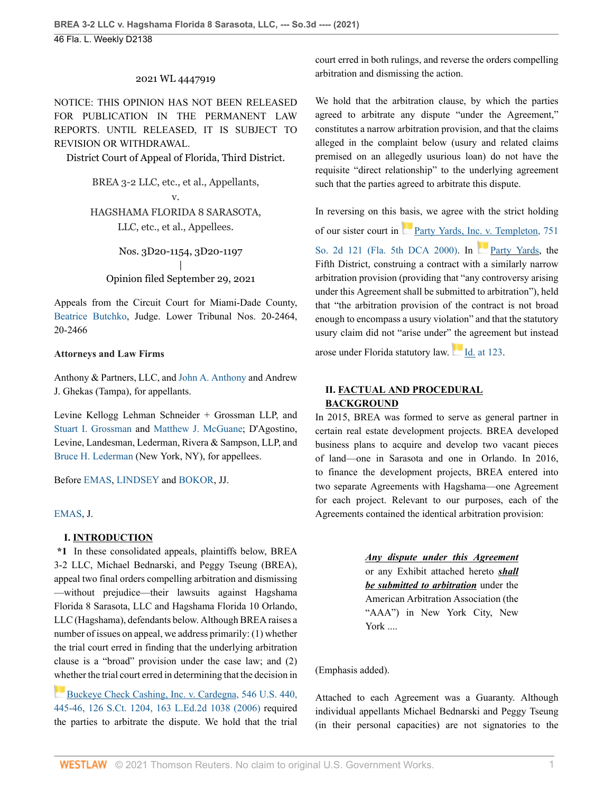### 2021 WL 4447919

NOTICE: THIS OPINION HAS NOT BEEN RELEASED FOR PUBLICATION IN THE PERMANENT LAW REPORTS. UNTIL RELEASED, IT IS SUBJECT TO REVISION OR WITHDRAWAL.

District Court of Appeal of Florida, Third District.

BREA 3-2 LLC, etc., et al., Appellants, v.

HAGSHAMA FLORIDA 8 SARASOTA, LLC, etc., et al., Appellees.

Nos. 3D20-1154, 3D20-1197 | Opinion filed September 29, 2021

Appeals from the Circuit Court for Miami-Dade County, [Beatrice Butchko,](http://www.westlaw.com/Link/Document/FullText?findType=h&pubNum=176284&cite=0335214001&originatingDoc=If9a5dea0214511ec82c48db1050f9ba3&refType=RQ&originationContext=document&vr=3.0&rs=cblt1.0&transitionType=DocumentItem&contextData=(sc.Default)) Judge. Lower Tribunal Nos. 20-2464, 20-2466

#### **Attorneys and Law Firms**

Anthony & Partners, LLC, and [John A. Anthony](http://www.westlaw.com/Link/Document/FullText?findType=h&pubNum=176284&cite=0150167401&originatingDoc=If9a5dea0214511ec82c48db1050f9ba3&refType=RQ&originationContext=document&vr=3.0&rs=cblt1.0&transitionType=DocumentItem&contextData=(sc.Default)) and Andrew J. Ghekas (Tampa), for appellants.

Levine Kellogg Lehman Schneider + Grossman LLP, and [Stuart I. Grossman](http://www.westlaw.com/Link/Document/FullText?findType=h&pubNum=176284&cite=0277922701&originatingDoc=If9a5dea0214511ec82c48db1050f9ba3&refType=RQ&originationContext=document&vr=3.0&rs=cblt1.0&transitionType=DocumentItem&contextData=(sc.Default)) and [Matthew J. McGuane](http://www.westlaw.com/Link/Document/FullText?findType=h&pubNum=176284&cite=0470356901&originatingDoc=If9a5dea0214511ec82c48db1050f9ba3&refType=RQ&originationContext=document&vr=3.0&rs=cblt1.0&transitionType=DocumentItem&contextData=(sc.Default)); D'Agostino, Levine, Landesman, Lederman, Rivera & Sampson, LLP, and [Bruce H. Lederman](http://www.westlaw.com/Link/Document/FullText?findType=h&pubNum=176284&cite=0291613401&originatingDoc=If9a5dea0214511ec82c48db1050f9ba3&refType=RQ&originationContext=document&vr=3.0&rs=cblt1.0&transitionType=DocumentItem&contextData=(sc.Default)) (New York, NY), for appellees.

Before [EMAS](http://www.westlaw.com/Link/Document/FullText?findType=h&pubNum=176284&cite=0142005802&originatingDoc=If9a5dea0214511ec82c48db1050f9ba3&refType=RQ&originationContext=document&vr=3.0&rs=cblt1.0&transitionType=DocumentItem&contextData=(sc.Default)), [LINDSEY](http://www.westlaw.com/Link/Document/FullText?findType=h&pubNum=176284&cite=0323240301&originatingDoc=If9a5dea0214511ec82c48db1050f9ba3&refType=RQ&originationContext=document&vr=3.0&rs=cblt1.0&transitionType=DocumentItem&contextData=(sc.Default)) and [BOKOR,](http://www.westlaw.com/Link/Document/FullText?findType=h&pubNum=176284&cite=0330438899&originatingDoc=If9a5dea0214511ec82c48db1050f9ba3&refType=RQ&originationContext=document&vr=3.0&rs=cblt1.0&transitionType=DocumentItem&contextData=(sc.Default)) JJ.

## [EMAS,](http://www.westlaw.com/Link/Document/FullText?findType=h&pubNum=176284&cite=0142005802&originatingDoc=If9a5dea0214511ec82c48db1050f9ba3&refType=RQ&originationContext=document&vr=3.0&rs=cblt1.0&transitionType=DocumentItem&contextData=(sc.Default)) J.

#### **I. INTRODUCTION**

**\*1** In these consolidated appeals, plaintiffs below, BREA 3-2 LLC, Michael Bednarski, and Peggy Tseung (BREA), appeal two final orders compelling arbitration and dismissing —without prejudice—their lawsuits against Hagshama Florida 8 Sarasota, LLC and Hagshama Florida 10 Orlando, LLC (Hagshama), defendants below. Although BREA raises a number of issues on appeal, we address primarily: (1) whether the trial court erred in finding that the underlying arbitration clause is a "broad" provision under the case law; and (2) [whe](https://1.next.westlaw.com/Link/RelatedInformation/Flag?documentGuid=I68510fc5a2ee11daa20eccddde63d628&transitionType=InlineKeyCiteFlags&originationContext=docHeaderFlag&Rank=0&ppcid=91f491f1e6ae482f99225bbbd4f11aef&contextData=(sc.Default) )ther the trial court erred in determining that the decision in

[Buckeye Check Cashing, Inc. v. Cardegna, 546 U.S. 440,](http://www.westlaw.com/Link/Document/FullText?findType=Y&serNum=2008492124&pubNum=0000780&originatingDoc=If9a5dea0214511ec82c48db1050f9ba3&refType=RP&fi=co_pp_sp_780_445&originationContext=document&vr=3.0&rs=cblt1.0&transitionType=DocumentItem&contextData=(sc.Default)#co_pp_sp_780_445) [445-46, 126 S.Ct. 1204, 163 L.Ed.2d 1038 \(2006\)](http://www.westlaw.com/Link/Document/FullText?findType=Y&serNum=2008492124&pubNum=0000780&originatingDoc=If9a5dea0214511ec82c48db1050f9ba3&refType=RP&fi=co_pp_sp_780_445&originationContext=document&vr=3.0&rs=cblt1.0&transitionType=DocumentItem&contextData=(sc.Default)#co_pp_sp_780_445) required the parties to arbitrate the dispute. We hold that the trial court erred in both rulings, and reverse the orders compelling arbitration and dismissing the action.

We hold that the arbitration clause, by which the parties agreed to arbitrate any dispute "under the Agreement," constitutes a narrow arbitration provision, and that the claims alleged in the complaint below (usury and related claims premised on an allegedly usurious loan) do not have the requisite "direct relationship" to the underlying agreement such that the parties agreed to arbitrate this dispute.

In reversing on this basis, we agree with the strict holding of our sister court in [Party Yards, Inc. v. Templeton, 751](http://www.westlaw.com/Link/Document/FullText?findType=Y&serNum=2000027286&pubNum=0000735&originatingDoc=If9a5dea0214511ec82c48db1050f9ba3&refType=RP&originationContext=document&vr=3.0&rs=cblt1.0&transitionType=DocumentItem&contextData=(sc.Default)) [So. 2d 121 \(Fla. 5th DCA 2000\).](http://www.westlaw.com/Link/Document/FullText?findType=Y&serNum=2000027286&pubNum=0000735&originatingDoc=If9a5dea0214511ec82c48db1050f9ba3&refType=RP&originationContext=document&vr=3.0&rs=cblt1.0&transitionType=DocumentItem&contextData=(sc.Default)) In [Party Yards,](http://www.westlaw.com/Link/Document/FullText?findType=Y&serNum=2000027286&pubNum=0000735&originatingDoc=If9a5dea0214511ec82c48db1050f9ba3&refType=RP&originationContext=document&vr=3.0&rs=cblt1.0&transitionType=DocumentItem&contextData=(sc.Default)) the Fifth District, construing a contract with a similarly narrow arbitration provision (providing that "any controversy arising under this Agreement shall be submitted to arbitration"), held that "the arbitration provision of the contract is not broad enough to encompass a usury violation" and that the statutory usury claim did not "arise under" the agreement but instead

arose under Florida statutory law.[Id. at 123](http://www.westlaw.com/Link/Document/FullText?findType=Y&serNum=2000027286&pubNum=0000735&originatingDoc=If9a5dea0214511ec82c48db1050f9ba3&refType=RP&fi=co_pp_sp_735_123&originationContext=document&vr=3.0&rs=cblt1.0&transitionType=DocumentItem&contextData=(sc.Default)#co_pp_sp_735_123).

# **II. FACTUAL AND PROCEDURAL BACKGROUND**

In 2015, BREA was formed to serve as general partner in certain real estate development projects. BREA developed business plans to acquire and develop two vacant pieces of land—one in Sarasota and one in Orlando. In 2016, to finance the development projects, BREA entered into two separate Agreements with Hagshama—one Agreement for each project. Relevant to our purposes, each of the Agreements contained the identical arbitration provision:

> *Any dispute under this Agreement* or any Exhibit attached hereto *shall be submitted to arbitration* under the American Arbitration Association (the "AAA") in New York City, New York ....

## (Emphasis added).

Attached to each Agreement was a Guaranty. Although individual appellants Michael Bednarski and Peggy Tseung (in their personal capacities) are not signatories to the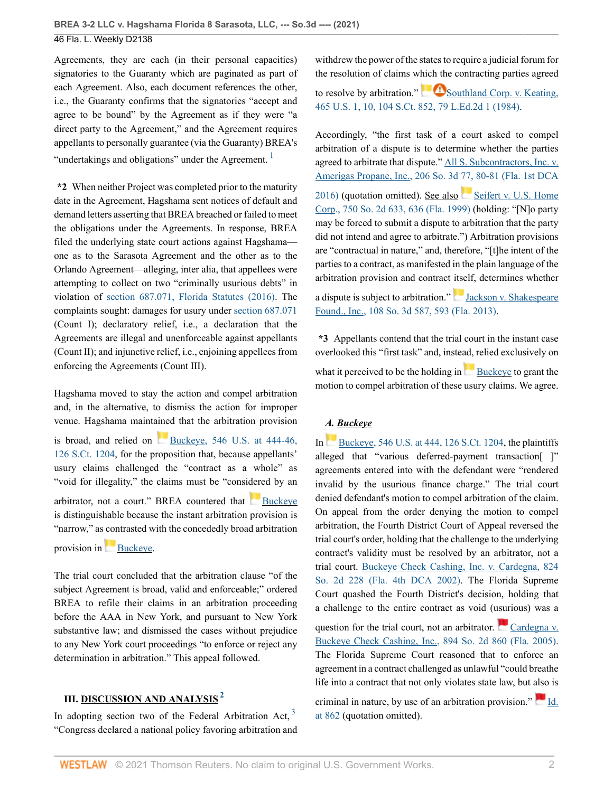Agreements, they are each (in their personal capacities) signatories to the Guaranty which are paginated as part of each Agreement. Also, each document references the other, i.e., the Guaranty confirms that the signatories "accept and agree to be bound" by the Agreement as if they were "a direct party to the Agreement," and the Agreement requires appellants to personally guarantee (via the Guaranty) BREA's "undertakings and obligations" under the Agreement.<sup>[1](#page-7-0)</sup>

**\*2** When neither Project was completed prior to the maturity date in the Agreement, Hagshama sent notices of default and demand letters asserting that BREA breached or failed to meet the obligations under the Agreements. In response, BREA filed the underlying state court actions against Hagshama one as to the Sarasota Agreement and the other as to the Orlando Agreement—alleging, inter alia, that appellees were attempting to collect on two "criminally usurious debts" in violation of [section 687.071, Florida Statutes \(2016\).](http://www.westlaw.com/Link/Document/FullText?findType=L&pubNum=1000006&cite=FLSTS687.071&originatingDoc=If9a5dea0214511ec82c48db1050f9ba3&refType=LQ&originationContext=document&vr=3.0&rs=cblt1.0&transitionType=DocumentItem&contextData=(sc.Default)) The complaints sought: damages for usury under [section 687.071](http://www.westlaw.com/Link/Document/FullText?findType=L&pubNum=1000006&cite=FLSTS687.071&originatingDoc=If9a5dea0214511ec82c48db1050f9ba3&refType=LQ&originationContext=document&vr=3.0&rs=cblt1.0&transitionType=DocumentItem&contextData=(sc.Default)) (Count I); declaratory relief, i.e., a declaration that the Agreements are illegal and unenforceable against appellants (Count II); and injunctive relief, i.e., enjoining appellees from enforcing the Agreements (Count III).

Hagshama moved to stay the action and compel arbitration and, in the alternative, to dismiss the action for improper venue. Hagshama maintained that the arbitration provision

is broad, and relied on Buckeye,  $546$  U.S. at  $444-46$ , [126 S.Ct. 1204,](http://www.westlaw.com/Link/Document/FullText?findType=Y&serNum=2008492124&pubNum=0000780&originatingDoc=If9a5dea0214511ec82c48db1050f9ba3&refType=RP&fi=co_pp_sp_780_444&originationContext=document&vr=3.0&rs=cblt1.0&transitionType=DocumentItem&contextData=(sc.Default)#co_pp_sp_780_444) for the proposition that, because appellants' usury claims challenged the "contract as a whole" as "void for illegality," the claims must be "considered by an arbitrator, not a court." BREA countered that [Buckeye](http://www.westlaw.com/Link/Document/FullText?findType=Y&serNum=2008492124&originatingDoc=If9a5dea0214511ec82c48db1050f9ba3&refType=RP&originationContext=document&vr=3.0&rs=cblt1.0&transitionType=DocumentItem&contextData=(sc.Default)) is distinguishable because the instant arbitration provision is "narrow," as contrasted with the concededly broad arbitration

provision in [Buckeye](http://www.westlaw.com/Link/Document/FullText?findType=Y&serNum=2008492124&pubNum=0000780&originatingDoc=If9a5dea0214511ec82c48db1050f9ba3&refType=RP&originationContext=document&vr=3.0&rs=cblt1.0&transitionType=DocumentItem&contextData=(sc.Default)).

The trial court concluded that the arbitration clause "of the subject Agreement is broad, valid and enforceable;" ordered BREA to refile their claims in an arbitration proceeding before the AAA in New York, and pursuant to New York substantive law; and dismissed the cases without prejudice to any New York court proceedings "to enforce or reject any determination in arbitration." This appeal followed.

# **III. DISCUSSION AND ANALYSIS[2](#page-7-1)**

In adopting section two of the Federal Arbitration Act,  $3\overline{ }$  $3\overline{ }$ "Congress declared a national policy favoring arbitration and withdrew the power of the states to require a judicial forum for the resolution of claims which the contracting parties agreed to resolve by arbitration."  $\bigotimes$  [Southland Corp. v. Keating,](http://www.westlaw.com/Link/Document/FullText?findType=Y&serNum=1984104100&pubNum=0000780&originatingDoc=If9a5dea0214511ec82c48db1050f9ba3&refType=RP&fi=co_pp_sp_780_10&originationContext=document&vr=3.0&rs=cblt1.0&transitionType=DocumentItem&contextData=(sc.Default)#co_pp_sp_780_10) [465 U.S. 1, 10, 104 S.Ct. 852, 79 L.Ed.2d 1 \(1984\)](http://www.westlaw.com/Link/Document/FullText?findType=Y&serNum=1984104100&pubNum=0000780&originatingDoc=If9a5dea0214511ec82c48db1050f9ba3&refType=RP&fi=co_pp_sp_780_10&originationContext=document&vr=3.0&rs=cblt1.0&transitionType=DocumentItem&contextData=(sc.Default)#co_pp_sp_780_10).

<span id="page-2-0"></span>Accordingly, "the first task of a court asked to compel arbitration of a dispute is to determine whether the parties agreed to arbitrate that dispute." [All S. Subcontractors, Inc. v.](http://www.westlaw.com/Link/Document/FullText?findType=Y&serNum=2039557342&pubNum=0003926&originatingDoc=If9a5dea0214511ec82c48db1050f9ba3&refType=RP&fi=co_pp_sp_3926_80&originationContext=document&vr=3.0&rs=cblt1.0&transitionType=DocumentItem&contextData=(sc.Default)#co_pp_sp_3926_80) [Amerigas Propane, Inc., 206 So. 3d 77, 80-81 \(Fla. 1st DCA](http://www.westlaw.com/Link/Document/FullText?findType=Y&serNum=2039557342&pubNum=0003926&originatingDoc=If9a5dea0214511ec82c48db1050f9ba3&refType=RP&fi=co_pp_sp_3926_80&originationContext=document&vr=3.0&rs=cblt1.0&transitionType=DocumentItem&contextData=(sc.Default)#co_pp_sp_3926_80) [2016\)](http://www.westlaw.com/Link/Document/FullText?findType=Y&serNum=2039557342&pubNum=0003926&originatingDoc=If9a5dea0214511ec82c48db1050f9ba3&refType=RP&fi=co_pp_sp_3926_80&originationContext=document&vr=3.0&rs=cblt1.0&transitionType=DocumentItem&contextData=(sc.Default)#co_pp_sp_3926_80) (quotation omitted). See also [Seifert v. U.S. Home](http://www.westlaw.com/Link/Document/FullText?findType=Y&serNum=1999255476&pubNum=0000735&originatingDoc=If9a5dea0214511ec82c48db1050f9ba3&refType=RP&fi=co_pp_sp_735_636&originationContext=document&vr=3.0&rs=cblt1.0&transitionType=DocumentItem&contextData=(sc.Default)#co_pp_sp_735_636) [Corp., 750 So. 2d 633, 636 \(Fla. 1999\)](http://www.westlaw.com/Link/Document/FullText?findType=Y&serNum=1999255476&pubNum=0000735&originatingDoc=If9a5dea0214511ec82c48db1050f9ba3&refType=RP&fi=co_pp_sp_735_636&originationContext=document&vr=3.0&rs=cblt1.0&transitionType=DocumentItem&contextData=(sc.Default)#co_pp_sp_735_636) (holding: "[N]o party may be forced to submit a dispute to arbitration that the party did not intend and agree to arbitrate.") Arbitration provisions are "contractual in nature," and, therefore, "[t]he intent of the parties to a contract, as manifested in the plain language of the arbitration provision and contract itself, determines whether

adispute is subject to arbitration." [Jackson v. Shakespeare](http://www.westlaw.com/Link/Document/FullText?findType=Y&serNum=2029772512&pubNum=0003926&originatingDoc=If9a5dea0214511ec82c48db1050f9ba3&refType=RP&fi=co_pp_sp_3926_593&originationContext=document&vr=3.0&rs=cblt1.0&transitionType=DocumentItem&contextData=(sc.Default)#co_pp_sp_3926_593) [Found., Inc., 108 So. 3d 587, 593 \(Fla. 2013\).](http://www.westlaw.com/Link/Document/FullText?findType=Y&serNum=2029772512&pubNum=0003926&originatingDoc=If9a5dea0214511ec82c48db1050f9ba3&refType=RP&fi=co_pp_sp_3926_593&originationContext=document&vr=3.0&rs=cblt1.0&transitionType=DocumentItem&contextData=(sc.Default)#co_pp_sp_3926_593)

**\*3** Appellants contend that the trial court in the instant case overlooked this "first task" and, instead, relied exclusively on whatit perceived to be the holding in [Buckeye](http://www.westlaw.com/Link/Document/FullText?findType=Y&serNum=2008492124&originatingDoc=If9a5dea0214511ec82c48db1050f9ba3&refType=RP&originationContext=document&vr=3.0&rs=cblt1.0&transitionType=DocumentItem&contextData=(sc.Default)) to grant the motion to compel arbitration of these usury claims. We agree.

# *A. Buckeye*

In[Buckeye, 546 U.S. at 444, 126 S.Ct. 1204](http://www.westlaw.com/Link/Document/FullText?findType=Y&serNum=2008492124&pubNum=0000780&originatingDoc=If9a5dea0214511ec82c48db1050f9ba3&refType=RP&fi=co_pp_sp_780_444&originationContext=document&vr=3.0&rs=cblt1.0&transitionType=DocumentItem&contextData=(sc.Default)#co_pp_sp_780_444), the plaintiffs alleged that "various deferred-payment transaction[ ]" agreements entered into with the defendant were "rendered invalid by the usurious finance charge." The trial court denied defendant's motion to compel arbitration of the claim. On appeal from the order denying the motion to compel arbitration, the Fourth District Court of Appeal reversed the trial court's order, holding that the challenge to the underlying contract's validity must be resolved by an arbitrator, not a trial court. [Buckeye Check Cashing, Inc. v. Cardegna, 824](http://www.westlaw.com/Link/Document/FullText?findType=Y&serNum=2002459289&pubNum=0000735&originatingDoc=If9a5dea0214511ec82c48db1050f9ba3&refType=RP&originationContext=document&vr=3.0&rs=cblt1.0&transitionType=DocumentItem&contextData=(sc.Default)) [So. 2d 228 \(Fla. 4th DCA 2002\)](http://www.westlaw.com/Link/Document/FullText?findType=Y&serNum=2002459289&pubNum=0000735&originatingDoc=If9a5dea0214511ec82c48db1050f9ba3&refType=RP&originationContext=document&vr=3.0&rs=cblt1.0&transitionType=DocumentItem&contextData=(sc.Default)). The Florida Supreme Court quashed the Fourth District's decision, holding that a challenge to the entire contract as void (usurious) was a

question for the trial court, not an arbitrator. [Cardegna v.](http://www.westlaw.com/Link/Document/FullText?findType=Y&serNum=2006065755&pubNum=0000735&originatingDoc=If9a5dea0214511ec82c48db1050f9ba3&refType=RP&originationContext=document&vr=3.0&rs=cblt1.0&transitionType=DocumentItem&contextData=(sc.Default)) [Buckeye Check Cashing, Inc., 894 So. 2d 860 \(Fla. 2005\).](http://www.westlaw.com/Link/Document/FullText?findType=Y&serNum=2006065755&pubNum=0000735&originatingDoc=If9a5dea0214511ec82c48db1050f9ba3&refType=RP&originationContext=document&vr=3.0&rs=cblt1.0&transitionType=DocumentItem&contextData=(sc.Default)) The Florida Supreme Court reasoned that to enforce an agreement in a contract challenged as unlawful "could breathe life into a contract that not only violates state law, but also is

<span id="page-2-2"></span><span id="page-2-1"></span>criminalin nature, by use of an arbitration provision."  $\blacksquare$  [Id.](http://www.westlaw.com/Link/Document/FullText?findType=Y&serNum=2006065755&pubNum=0000735&originatingDoc=If9a5dea0214511ec82c48db1050f9ba3&refType=RP&fi=co_pp_sp_735_862&originationContext=document&vr=3.0&rs=cblt1.0&transitionType=DocumentItem&contextData=(sc.Default)#co_pp_sp_735_862) [at 862](http://www.westlaw.com/Link/Document/FullText?findType=Y&serNum=2006065755&pubNum=0000735&originatingDoc=If9a5dea0214511ec82c48db1050f9ba3&refType=RP&fi=co_pp_sp_735_862&originationContext=document&vr=3.0&rs=cblt1.0&transitionType=DocumentItem&contextData=(sc.Default)#co_pp_sp_735_862) (quotation omitted).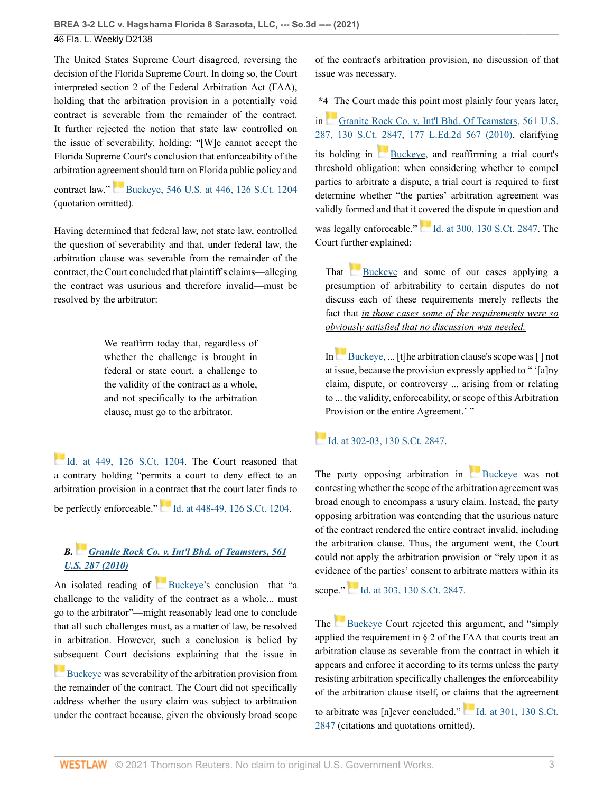The United States Supreme Court disagreed, reversing the decision of the Florida Supreme Court. In doing so, the Court interpreted section 2 of the Federal Arbitration Act (FAA), holding that the arbitration provision in a potentially void contract is severable from the remainder of the contract. It further rejected the notion that state law controlled on the issue of severability, holding: "[W]e cannot accept the Florida Supreme Court's conclusion that enforceability of the arbitration agreement should turn on Florida public policy and

contract law." [Buckeye, 546 U.S. at 446, 126 S.Ct. 1204](http://www.westlaw.com/Link/Document/FullText?findType=Y&serNum=2008492124&pubNum=0000780&originatingDoc=If9a5dea0214511ec82c48db1050f9ba3&refType=RP&fi=co_pp_sp_780_446&originationContext=document&vr=3.0&rs=cblt1.0&transitionType=DocumentItem&contextData=(sc.Default)#co_pp_sp_780_446) (quotation omitted).

Having determined that federal law, not state law, controlled the question of severability and that, under federal law, the arbitration clause was severable from the remainder of the contract, the Court concluded that plaintiff's claims—alleging the contract was usurious and therefore invalid—must be resolved by the arbitrator:

> We reaffirm today that, regardless of whether the challenge is brought in federal or state court, a challenge to the validity of the contract as a whole, and not specifically to the arbitration clause, must go to the arbitrator.

[Id. at 449, 126 S.Ct. 1204](http://www.westlaw.com/Link/Document/FullText?findType=Y&serNum=2008492124&pubNum=0000708&originatingDoc=If9a5dea0214511ec82c48db1050f9ba3&refType=RP&fi=co_pp_sp_708_449&originationContext=document&vr=3.0&rs=cblt1.0&transitionType=DocumentItem&contextData=(sc.Default)#co_pp_sp_708_449). The Court reasoned that a contrary holding "permits a court to deny effect to an arbitration provision in a contract that the court later finds to be perfectly enforceable." [Id. at 448-49, 126 S.Ct. 1204](http://www.westlaw.com/Link/Document/FullText?findType=Y&serNum=2008492124&pubNum=0000708&originatingDoc=If9a5dea0214511ec82c48db1050f9ba3&refType=RP&fi=co_pp_sp_708_448&originationContext=document&vr=3.0&rs=cblt1.0&transitionType=DocumentItem&contextData=(sc.Default)#co_pp_sp_708_448).

# *B. [Granite Rock Co. v. Int'l Bhd. of Teamsters, 561](http://www.westlaw.com/Link/Document/FullText?findType=Y&serNum=2022366581&pubNum=0000780&originatingDoc=If9a5dea0214511ec82c48db1050f9ba3&refType=RP&originationContext=document&vr=3.0&rs=cblt1.0&transitionType=DocumentItem&contextData=(sc.Default)) [U.S. 287 \(2010\)](http://www.westlaw.com/Link/Document/FullText?findType=Y&serNum=2022366581&pubNum=0000780&originatingDoc=If9a5dea0214511ec82c48db1050f9ba3&refType=RP&originationContext=document&vr=3.0&rs=cblt1.0&transitionType=DocumentItem&contextData=(sc.Default))*

An isolated reading of [Buckeye](http://www.westlaw.com/Link/Document/FullText?findType=Y&serNum=2008492124&originatingDoc=If9a5dea0214511ec82c48db1050f9ba3&refType=RP&originationContext=document&vr=3.0&rs=cblt1.0&transitionType=DocumentItem&contextData=(sc.Default))'s conclusion—that "a challenge to the validity of the contract as a whole... must go to the arbitrator"—might reasonably lead one to conclude that all such challenges must, as a matter of law, be resolved in arbitration. However, such a conclusion is belied by [sub](https://1.next.westlaw.com/Link/RelatedInformation/Flag?documentGuid=I68510fc5a2ee11daa20eccddde63d628&transitionType=InlineKeyCiteFlags&originationContext=docHeaderFlag&Rank=0&ppcid=91f491f1e6ae482f99225bbbd4f11aef&contextData=(sc.Default) )sequent Court decisions explaining that the issue in

**[Buckeye](http://www.westlaw.com/Link/Document/FullText?findType=Y&serNum=2008492124&originatingDoc=If9a5dea0214511ec82c48db1050f9ba3&refType=RP&originationContext=document&vr=3.0&rs=cblt1.0&transitionType=DocumentItem&contextData=(sc.Default)) was severability of the arbitration provision from** the remainder of the contract. The Court did not specifically address whether the usury claim was subject to arbitration under the contract because, given the obviously broad scope of the contract's arbitration provision, no discussion of that issue was necessary.

**\*4** The Court made this point most plainly four years later,

in [Granite Rock Co. v. Int'l Bhd. Of Teamsters, 561 U.S.](http://www.westlaw.com/Link/Document/FullText?findType=Y&serNum=2022366581&pubNum=0000708&originatingDoc=If9a5dea0214511ec82c48db1050f9ba3&refType=RP&originationContext=document&vr=3.0&rs=cblt1.0&transitionType=DocumentItem&contextData=(sc.Default)) [287, 130 S.Ct. 2847, 177 L.Ed.2d 567 \(2010\),](http://www.westlaw.com/Link/Document/FullText?findType=Y&serNum=2022366581&pubNum=0000708&originatingDoc=If9a5dea0214511ec82c48db1050f9ba3&refType=RP&originationContext=document&vr=3.0&rs=cblt1.0&transitionType=DocumentItem&contextData=(sc.Default)) clarifying its holding in  $Buckeye$ , and reaffirming a trial court's threshold obligation: when considering whether to compel parties to arbitrate a dispute, a trial court is required to first determine whether "the parties' arbitration agreement was validly formed and that it covered the dispute in question and

was legally enforceable." [Id. at 300, 130 S.Ct. 2847](http://www.westlaw.com/Link/Document/FullText?findType=Y&serNum=2022366581&pubNum=0000708&originatingDoc=If9a5dea0214511ec82c48db1050f9ba3&refType=RP&originationContext=document&vr=3.0&rs=cblt1.0&transitionType=DocumentItem&contextData=(sc.Default)). The Court further explained:

That [Buckeye](http://www.westlaw.com/Link/Document/FullText?findType=Y&serNum=2008492124&originatingDoc=If9a5dea0214511ec82c48db1050f9ba3&refType=RP&originationContext=document&vr=3.0&rs=cblt1.0&transitionType=DocumentItem&contextData=(sc.Default)) and some of our cases applying a presumption of arbitrability to certain disputes do not discuss each of these requirements merely reflects the fact that *in those cases some of the requirements were so obviously satisfied that no discussion was needed.*

In[Buckeye,](http://www.westlaw.com/Link/Document/FullText?findType=Y&serNum=2008492124&originatingDoc=If9a5dea0214511ec82c48db1050f9ba3&refType=RP&originationContext=document&vr=3.0&rs=cblt1.0&transitionType=DocumentItem&contextData=(sc.Default)) ... [t]he arbitration clause's scope was [] not at issue, because the provision expressly applied to " '[a]ny claim, dispute, or controversy ... arising from or relating to ... the validity, enforceability, or scope of this Arbitration Provision or the entire Agreement.' "

# [Id. at 302-03, 130 S.Ct. 2847](http://www.westlaw.com/Link/Document/FullText?findType=Y&serNum=2022366581&pubNum=0000708&originatingDoc=If9a5dea0214511ec82c48db1050f9ba3&refType=RP&fi=co_pp_sp_708_302&originationContext=document&vr=3.0&rs=cblt1.0&transitionType=DocumentItem&contextData=(sc.Default)#co_pp_sp_708_302).

The party opposing arbitration in  $Buckeye$  was not contesting whether the scope of the arbitration agreement was broad enough to encompass a usury claim. Instead, the party opposing arbitration was contending that the usurious nature of the contract rendered the entire contract invalid, including the arbitration clause. Thus, the argument went, the Court could not apply the arbitration provision or "rely upon it as evidence of the parties' consent to arbitrate matters within its

scope."[Id. at 303, 130 S.Ct. 2847.](http://www.westlaw.com/Link/Document/FullText?findType=Y&serNum=2022366581&pubNum=0000708&originatingDoc=If9a5dea0214511ec82c48db1050f9ba3&refType=RP&fi=co_pp_sp_708_303&originationContext=document&vr=3.0&rs=cblt1.0&transitionType=DocumentItem&contextData=(sc.Default)#co_pp_sp_708_303)

The [Buckeye](http://www.westlaw.com/Link/Document/FullText?findType=Y&serNum=2008492124&originatingDoc=If9a5dea0214511ec82c48db1050f9ba3&refType=RP&originationContext=document&vr=3.0&rs=cblt1.0&transitionType=DocumentItem&contextData=(sc.Default)) Court rejected this argument, and "simply" applied the requirement in § 2 of the FAA that courts treat an arbitration clause as severable from the contract in which it appears and enforce it according to its terms unless the party resisting arbitration specifically challenges the enforceability of the arbitration clause itself, or claims that the agreement

to arbitrate was [n]ever concluded." [Id. at 301, 130 S.Ct.](http://www.westlaw.com/Link/Document/FullText?findType=Y&serNum=2022366581&pubNum=0000708&originatingDoc=If9a5dea0214511ec82c48db1050f9ba3&refType=RP&fi=co_pp_sp_708_301&originationContext=document&vr=3.0&rs=cblt1.0&transitionType=DocumentItem&contextData=(sc.Default)#co_pp_sp_708_301) [2847](http://www.westlaw.com/Link/Document/FullText?findType=Y&serNum=2022366581&pubNum=0000708&originatingDoc=If9a5dea0214511ec82c48db1050f9ba3&refType=RP&fi=co_pp_sp_708_301&originationContext=document&vr=3.0&rs=cblt1.0&transitionType=DocumentItem&contextData=(sc.Default)#co_pp_sp_708_301) (citations and quotations omitted).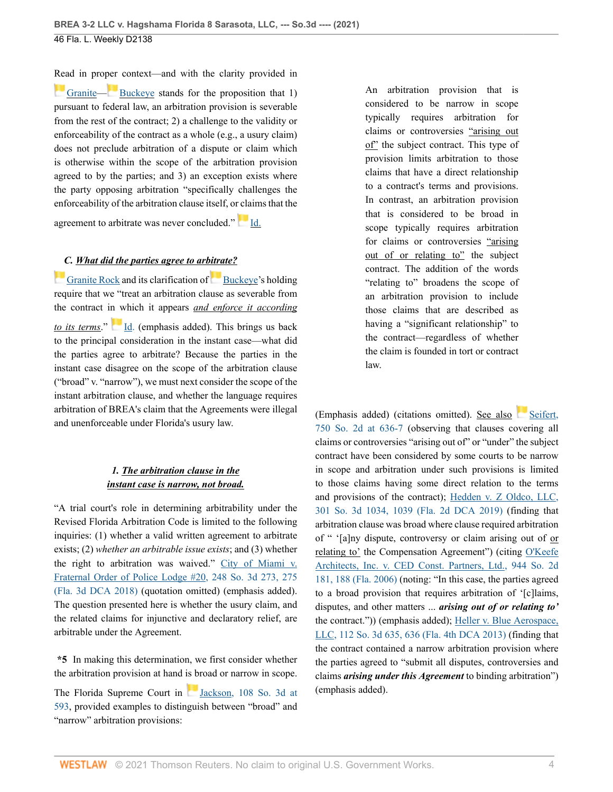[Rea](https://1.next.westlaw.com/Link/RelatedInformation/Flag?documentGuid=I0fb4fe5d7fa711df9513e5d1d488c847&transitionType=InlineKeyCiteFlags&originationContext=docHeaderFlag&Rank=0&ppcid=91f491f1e6ae482f99225bbbd4f11aef&contextData=(sc.Default) )d in pro[per](https://1.next.westlaw.com/Link/RelatedInformation/Flag?documentGuid=I68510fc5a2ee11daa20eccddde63d628&transitionType=InlineKeyCiteFlags&originationContext=docHeaderFlag&Rank=0&ppcid=91f491f1e6ae482f99225bbbd4f11aef&contextData=(sc.Default) ) context—and with the clarity provided in [Granite—](http://www.westlaw.com/Link/Document/FullText?findType=Y&serNum=2022366581&originatingDoc=If9a5dea0214511ec82c48db1050f9ba3&refType=RP&originationContext=document&vr=3.0&rs=cblt1.0&transitionType=DocumentItem&contextData=(sc.Default)) [Buckeye](http://www.westlaw.com/Link/Document/FullText?findType=Y&serNum=2008492124&originatingDoc=If9a5dea0214511ec82c48db1050f9ba3&refType=RP&originationContext=document&vr=3.0&rs=cblt1.0&transitionType=DocumentItem&contextData=(sc.Default)) stands for the proposition that 1) pursuant to federal law, an arbitration provision is severable from the rest of the contract; 2) a challenge to the validity or enforceability of the contract as a whole (e.g., a usury claim) does not preclude arbitration of a dispute or claim which is otherwise within the scope of the arbitration provision agreed to by the parties; and 3) an exception exists where the party opposing arbitration "specifically challenges the enforceability of the arbitration clause itself, or claims that the

agreement to arbitrate was never concluded."[Id.](http://www.westlaw.com/Link/Document/FullText?findType=Y&serNum=2022366581&pubNum=0000780&originatingDoc=If9a5dea0214511ec82c48db1050f9ba3&refType=RP&originationContext=document&vr=3.0&rs=cblt1.0&transitionType=DocumentItem&contextData=(sc.Default))

# *[C](https://1.next.westlaw.com/Link/RelatedInformation/Flag?documentGuid=I0fb4fe5d7fa711df9513e5d1d488c847&transitionType=InlineKeyCiteFlags&originationContext=docHeaderFlag&Rank=0&ppcid=91f491f1e6ae482f99225bbbd4f11aef&contextData=(sc.Default) ). What did the parties agree to arbitrate?*

[Granite Rock](http://www.westlaw.com/Link/Document/FullText?findType=Y&serNum=2022366581&originatingDoc=If9a5dea0214511ec82c48db1050f9ba3&refType=RP&originationContext=document&vr=3.0&rs=cblt1.0&transitionType=DocumentItem&contextData=(sc.Default)) andits clarification of [Buckeye'](http://www.westlaw.com/Link/Document/FullText?findType=Y&serNum=2008492124&originatingDoc=If9a5dea0214511ec82c48db1050f9ba3&refType=RP&originationContext=document&vr=3.0&rs=cblt1.0&transitionType=DocumentItem&contextData=(sc.Default))s holding require that we "treat an arbitration clause as severable from the contract in which it appears *and enforce it according to its terms.*" [Id.](http://www.westlaw.com/Link/Document/FullText?findType=Y&serNum=2022366581&pubNum=0000780&originatingDoc=If9a5dea0214511ec82c48db1050f9ba3&refType=RP&originationContext=document&vr=3.0&rs=cblt1.0&transitionType=DocumentItem&contextData=(sc.Default)) (emphasis added). This brings us back to the principal consideration in the instant case—what did the parties agree to arbitrate? Because the parties in the instant case disagree on the scope of the arbitration clause ("broad" v. "narrow"), we must next consider the scope of the instant arbitration clause, and whether the language requires arbitration of BREA's claim that the Agreements were illegal and unenforceable under Florida's usury law.

# *1. The arbitration clause in the instant case is narrow, not broad.*

"A trial court's role in determining arbitrability under the Revised Florida Arbitration Code is limited to the following inquiries: (1) whether a valid written agreement to arbitrate exists; (2) *whether an arbitrable issue exists*; and (3) whether the right to arbitration was waived." [City of Miami v.](http://www.westlaw.com/Link/Document/FullText?findType=Y&serNum=2044678517&pubNum=0003926&originatingDoc=If9a5dea0214511ec82c48db1050f9ba3&refType=RP&fi=co_pp_sp_3926_275&originationContext=document&vr=3.0&rs=cblt1.0&transitionType=DocumentItem&contextData=(sc.Default)#co_pp_sp_3926_275) [Fraternal Order of Police Lodge #20, 248 So. 3d 273, 275](http://www.westlaw.com/Link/Document/FullText?findType=Y&serNum=2044678517&pubNum=0003926&originatingDoc=If9a5dea0214511ec82c48db1050f9ba3&refType=RP&fi=co_pp_sp_3926_275&originationContext=document&vr=3.0&rs=cblt1.0&transitionType=DocumentItem&contextData=(sc.Default)#co_pp_sp_3926_275) [\(Fla. 3d DCA 2018\)](http://www.westlaw.com/Link/Document/FullText?findType=Y&serNum=2044678517&pubNum=0003926&originatingDoc=If9a5dea0214511ec82c48db1050f9ba3&refType=RP&fi=co_pp_sp_3926_275&originationContext=document&vr=3.0&rs=cblt1.0&transitionType=DocumentItem&contextData=(sc.Default)#co_pp_sp_3926_275) (quotation omitted) (emphasis added). The question presented here is whether the usury claim, and the related claims for injunctive and declaratory relief, are arbitrable under the Agreement.

**\*5** In making this determination, we first consider whether the arbitration provision at hand is broad or narrow in scope.

The Florida Supreme Court in [Jackson, 108 So. 3d at](http://www.westlaw.com/Link/Document/FullText?findType=Y&serNum=2029772512&pubNum=0003926&originatingDoc=If9a5dea0214511ec82c48db1050f9ba3&refType=RP&fi=co_pp_sp_3926_593&originationContext=document&vr=3.0&rs=cblt1.0&transitionType=DocumentItem&contextData=(sc.Default)#co_pp_sp_3926_593) [593](http://www.westlaw.com/Link/Document/FullText?findType=Y&serNum=2029772512&pubNum=0003926&originatingDoc=If9a5dea0214511ec82c48db1050f9ba3&refType=RP&fi=co_pp_sp_3926_593&originationContext=document&vr=3.0&rs=cblt1.0&transitionType=DocumentItem&contextData=(sc.Default)#co_pp_sp_3926_593), provided examples to distinguish between "broad" and "narrow" arbitration provisions:

An arbitration provision that is considered to be narrow in scope typically requires arbitration for claims or controversies "arising out of" the subject contract. This type of provision limits arbitration to those claims that have a direct relationship to a contract's terms and provisions. In contrast, an arbitration provision that is considered to be broad in scope typically requires arbitration for claims or controversies "arising out of or relating to" the subject contract. The addition of the words "relating to" broadens the scope of an arbitration provision to include those claims that are described as having a "significant relationship" to the contract—regardless of whether the claim is founded in tort or contract law.

(Emphasis added) (citations omitted). See also [750 So. 2d at 636-7](http://www.westlaw.com/Link/Document/FullText?findType=Y&serNum=1999255476&pubNum=0000735&originatingDoc=If9a5dea0214511ec82c48db1050f9ba3&refType=RP&fi=co_pp_sp_735_636&originationContext=document&vr=3.0&rs=cblt1.0&transitionType=DocumentItem&contextData=(sc.Default)#co_pp_sp_735_636) (observing that clauses covering all claims or controversies "arising out of" or "under" the subject contract have been considered by some courts to be narrow in scope and arbitration under such provisions is limited to those claims having some direct relation to the terms and provisions of the contract); [Hedden v. Z Oldco, LLC,](http://www.westlaw.com/Link/Document/FullText?findType=Y&serNum=2049509324&pubNum=0003926&originatingDoc=If9a5dea0214511ec82c48db1050f9ba3&refType=RP&fi=co_pp_sp_3926_1039&originationContext=document&vr=3.0&rs=cblt1.0&transitionType=DocumentItem&contextData=(sc.Default)#co_pp_sp_3926_1039) [301 So. 3d 1034, 1039 \(Fla. 2d DCA 2019\)](http://www.westlaw.com/Link/Document/FullText?findType=Y&serNum=2049509324&pubNum=0003926&originatingDoc=If9a5dea0214511ec82c48db1050f9ba3&refType=RP&fi=co_pp_sp_3926_1039&originationContext=document&vr=3.0&rs=cblt1.0&transitionType=DocumentItem&contextData=(sc.Default)#co_pp_sp_3926_1039) (finding that arbitration clause was broad where clause required arbitration of " '[a]ny dispute, controversy or claim arising out of or relating to' the Compensation Agreement") (citing [O'Keefe](http://www.westlaw.com/Link/Document/FullText?findType=Y&serNum=2010483957&pubNum=0000735&originatingDoc=If9a5dea0214511ec82c48db1050f9ba3&refType=RP&fi=co_pp_sp_735_188&originationContext=document&vr=3.0&rs=cblt1.0&transitionType=DocumentItem&contextData=(sc.Default)#co_pp_sp_735_188) [Architects, Inc. v. CED Const. Partners, Ltd., 944 So. 2d](http://www.westlaw.com/Link/Document/FullText?findType=Y&serNum=2010483957&pubNum=0000735&originatingDoc=If9a5dea0214511ec82c48db1050f9ba3&refType=RP&fi=co_pp_sp_735_188&originationContext=document&vr=3.0&rs=cblt1.0&transitionType=DocumentItem&contextData=(sc.Default)#co_pp_sp_735_188) [181, 188 \(Fla. 2006\)](http://www.westlaw.com/Link/Document/FullText?findType=Y&serNum=2010483957&pubNum=0000735&originatingDoc=If9a5dea0214511ec82c48db1050f9ba3&refType=RP&fi=co_pp_sp_735_188&originationContext=document&vr=3.0&rs=cblt1.0&transitionType=DocumentItem&contextData=(sc.Default)#co_pp_sp_735_188) (noting: "In this case, the parties agreed to a broad provision that requires arbitration of '[c]laims, disputes, and other matters ... *arising out of or relating to'* the contract.")) (emphasis added); [Heller v. Blue Aerospace,](http://www.westlaw.com/Link/Document/FullText?findType=Y&serNum=2030418125&pubNum=0003926&originatingDoc=If9a5dea0214511ec82c48db1050f9ba3&refType=RP&fi=co_pp_sp_3926_636&originationContext=document&vr=3.0&rs=cblt1.0&transitionType=DocumentItem&contextData=(sc.Default)#co_pp_sp_3926_636) [LLC, 112 So. 3d 635, 636 \(Fla. 4th DCA 2013\)](http://www.westlaw.com/Link/Document/FullText?findType=Y&serNum=2030418125&pubNum=0003926&originatingDoc=If9a5dea0214511ec82c48db1050f9ba3&refType=RP&fi=co_pp_sp_3926_636&originationContext=document&vr=3.0&rs=cblt1.0&transitionType=DocumentItem&contextData=(sc.Default)#co_pp_sp_3926_636) (finding that the contract contained a narrow arbitration provision where the parties agreed to "submit all disputes, controversies and claims *arising under this Agreement* to binding arbitration") (emphasis added).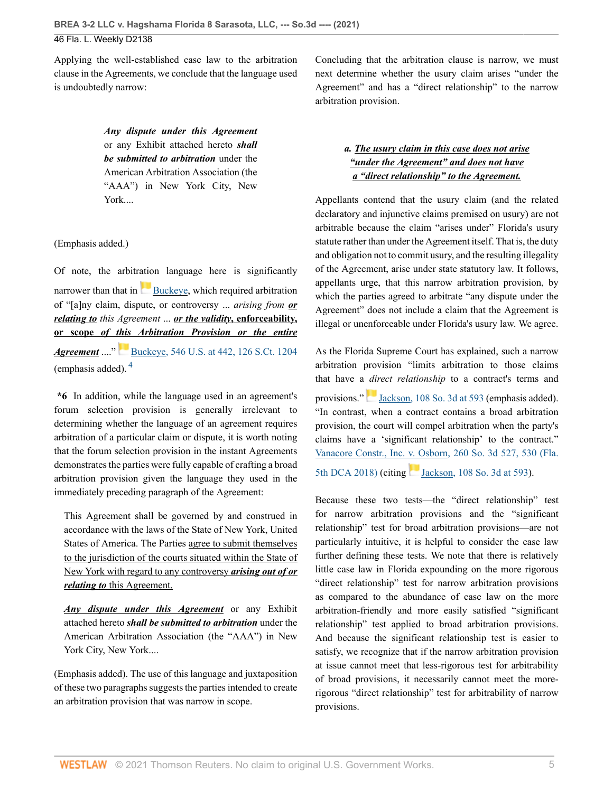Applying the well-established case law to the arbitration clause in the Agreements, we conclude that the language used is undoubtedly narrow:

> *Any dispute under this Agreement* or any Exhibit attached hereto *shall be submitted to arbitration* under the American Arbitration Association (the "AAA") in New York City, New York....

(Emphasis added.)

Of note, the arbitration language here is significantly narrowerthan that in [Buckeye,](http://www.westlaw.com/Link/Document/FullText?findType=Y&serNum=2008492124&pubNum=0000780&originatingDoc=If9a5dea0214511ec82c48db1050f9ba3&refType=RP&originationContext=document&vr=3.0&rs=cblt1.0&transitionType=DocumentItem&contextData=(sc.Default)) which required arbitration of "[a]ny claim, dispute, or controversy ... *arising from or relating to this Agreement* ... *or the validity***, enforceability, or scope** *of this Arbitration Provision or the entire Agreement* ...."[Buckeye, 546 U.S. at 442, 126 S.Ct. 1204](http://www.westlaw.com/Link/Document/FullText?findType=Y&serNum=2008492124&pubNum=0000780&originatingDoc=If9a5dea0214511ec82c48db1050f9ba3&refType=RP&fi=co_pp_sp_780_442&originationContext=document&vr=3.0&rs=cblt1.0&transitionType=DocumentItem&contextData=(sc.Default)#co_pp_sp_780_442) (emphasis added). [4](#page-7-3)

<span id="page-5-0"></span>**\*6** In addition, while the language used in an agreement's forum selection provision is generally irrelevant to determining whether the language of an agreement requires arbitration of a particular claim or dispute, it is worth noting that the forum selection provision in the instant Agreements demonstrates the parties were fully capable of crafting a broad arbitration provision given the language they used in the immediately preceding paragraph of the Agreement:

This Agreement shall be governed by and construed in accordance with the laws of the State of New York, United States of America. The Parties agree to submit themselves to the jurisdiction of the courts situated within the State of New York with regard to any controversy *arising out of or relating to* this Agreement.

*Any dispute under this Agreement* or any Exhibit attached hereto *shall be submitted to arbitration* under the American Arbitration Association (the "AAA") in New York City, New York....

(Emphasis added). The use of this language and juxtaposition of these two paragraphs suggests the parties intended to create an arbitration provision that was narrow in scope.

Concluding that the arbitration clause is narrow, we must next determine whether the usury claim arises "under the Agreement" and has a "direct relationship" to the narrow arbitration provision.

# *a. The usury claim in this case does not arise "under the Agreement" and does not have a "direct relationship" to the Agreement.*

Appellants contend that the usury claim (and the related declaratory and injunctive claims premised on usury) are not arbitrable because the claim "arises under" Florida's usury statute rather than under the Agreement itself. That is, the duty and obligation not to commit usury, and the resulting illegality of the Agreement, arise under state statutory law. It follows, appellants urge, that this narrow arbitration provision, by which the parties agreed to arbitrate "any dispute under the Agreement" does not include a claim that the Agreement is illegal or unenforceable under Florida's usury law. We agree.

As the Florida Supreme Court has explained, such a narrow arbitration provision "limits arbitration to those claims that have a *direct relationship* to a contract's terms and provisions."[Jackson, 108 So. 3d at 593](http://www.westlaw.com/Link/Document/FullText?findType=Y&serNum=2029772512&pubNum=0003926&originatingDoc=If9a5dea0214511ec82c48db1050f9ba3&refType=RP&fi=co_pp_sp_3926_593&originationContext=document&vr=3.0&rs=cblt1.0&transitionType=DocumentItem&contextData=(sc.Default)#co_pp_sp_3926_593) (emphasis added). "In contrast, when a contract contains a broad arbitration provision, the court will compel arbitration when the party's claims have a 'significant relationship' to the contract." [Vanacore Constr., Inc. v. Osborn, 260 So. 3d 527, 530 \(Fla.](http://www.westlaw.com/Link/Document/FullText?findType=Y&serNum=2047095814&pubNum=0003926&originatingDoc=If9a5dea0214511ec82c48db1050f9ba3&refType=RP&fi=co_pp_sp_3926_530&originationContext=document&vr=3.0&rs=cblt1.0&transitionType=DocumentItem&contextData=(sc.Default)#co_pp_sp_3926_530) [5th DCA 2018\)](http://www.westlaw.com/Link/Document/FullText?findType=Y&serNum=2047095814&pubNum=0003926&originatingDoc=If9a5dea0214511ec82c48db1050f9ba3&refType=RP&fi=co_pp_sp_3926_530&originationContext=document&vr=3.0&rs=cblt1.0&transitionType=DocumentItem&contextData=(sc.Default)#co_pp_sp_3926_530)(citing [Jackson, 108 So. 3d at 593\)](http://www.westlaw.com/Link/Document/FullText?findType=Y&serNum=2029772512&pubNum=0003926&originatingDoc=If9a5dea0214511ec82c48db1050f9ba3&refType=RP&fi=co_pp_sp_3926_593&originationContext=document&vr=3.0&rs=cblt1.0&transitionType=DocumentItem&contextData=(sc.Default)#co_pp_sp_3926_593).

Because these two tests—the "direct relationship" test for narrow arbitration provisions and the "significant relationship" test for broad arbitration provisions—are not particularly intuitive, it is helpful to consider the case law further defining these tests. We note that there is relatively little case law in Florida expounding on the more rigorous "direct relationship" test for narrow arbitration provisions as compared to the abundance of case law on the more arbitration-friendly and more easily satisfied "significant relationship" test applied to broad arbitration provisions. And because the significant relationship test is easier to satisfy, we recognize that if the narrow arbitration provision at issue cannot meet that less-rigorous test for arbitrability of broad provisions, it necessarily cannot meet the morerigorous "direct relationship" test for arbitrability of narrow provisions.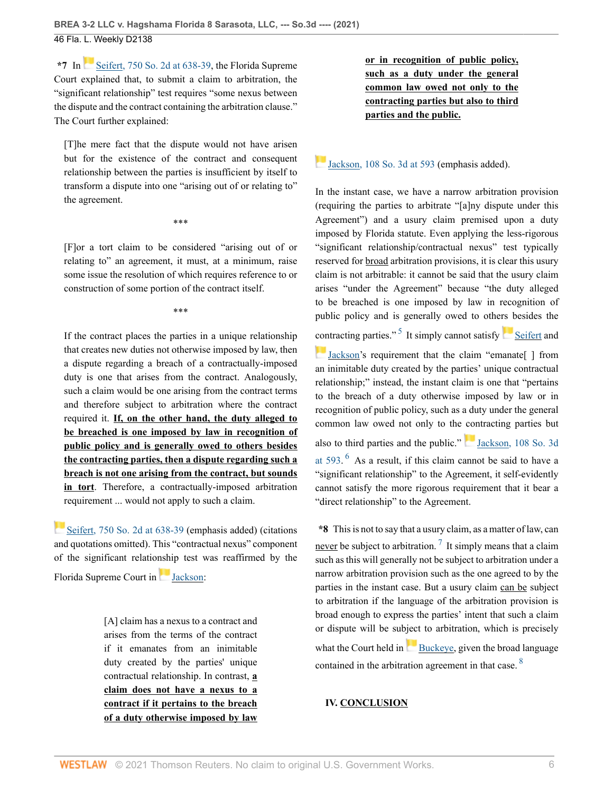\*7In [Seifert, 750 So. 2d at 638-39,](http://www.westlaw.com/Link/Document/FullText?findType=Y&serNum=1999255476&pubNum=0000735&originatingDoc=If9a5dea0214511ec82c48db1050f9ba3&refType=RP&fi=co_pp_sp_735_638&originationContext=document&vr=3.0&rs=cblt1.0&transitionType=DocumentItem&contextData=(sc.Default)#co_pp_sp_735_638) the Florida Supreme Court explained that, to submit a claim to arbitration, the "significant relationship" test requires "some nexus between the dispute and the contract containing the arbitration clause." The Court further explained:

[T]he mere fact that the dispute would not have arisen but for the existence of the contract and consequent relationship between the parties is insufficient by itself to transform a dispute into one "arising out of or relating to" the agreement.

\*\*\*

[F]or a tort claim to be considered "arising out of or relating to" an agreement, it must, at a minimum, raise some issue the resolution of which requires reference to or construction of some portion of the contract itself.

\*\*\*

If the contract places the parties in a unique relationship that creates new duties not otherwise imposed by law, then a dispute regarding a breach of a contractually-imposed duty is one that arises from the contract. Analogously, such a claim would be one arising from the contract terms and therefore subject to arbitration where the contract required it. **If, on the other hand, the duty alleged to be breached is one imposed by law in recognition of public policy and is generally owed to others besides the contracting parties, then a dispute regarding such a breach is not one arising from the contract, but sounds in tort**. Therefore, a contractually-imposed arbitration requirement ... would not apply to such a claim.

[Seifert, 750 So. 2d at 638-39](http://www.westlaw.com/Link/Document/FullText?findType=Y&serNum=1999255476&pubNum=0000735&originatingDoc=If9a5dea0214511ec82c48db1050f9ba3&refType=RP&fi=co_pp_sp_735_638&originationContext=document&vr=3.0&rs=cblt1.0&transitionType=DocumentItem&contextData=(sc.Default)#co_pp_sp_735_638) (emphasis added) (citations and quotations omitted). This "contractual nexus" component of the significant relationship test was reaffirmed by the Florida Supreme Court in [Jackson](http://www.westlaw.com/Link/Document/FullText?findType=Y&serNum=2029772512&originatingDoc=If9a5dea0214511ec82c48db1050f9ba3&refType=RP&originationContext=document&vr=3.0&rs=cblt1.0&transitionType=DocumentItem&contextData=(sc.Default)):

> [A] claim has a nexus to a contract and arises from the terms of the contract if it emanates from an inimitable duty created by the parties' unique contractual relationship. In contrast, **a claim does not have a nexus to a contract if it pertains to the breach of a duty otherwise imposed by law**

**or in recognition of public policy, such as a duty under the general common law owed not only to the contracting parties but also to third parties and the public.**

[Jackson, 108 So. 3d at 593](http://www.westlaw.com/Link/Document/FullText?findType=Y&serNum=2029772512&pubNum=0003926&originatingDoc=If9a5dea0214511ec82c48db1050f9ba3&refType=RP&fi=co_pp_sp_3926_593&originationContext=document&vr=3.0&rs=cblt1.0&transitionType=DocumentItem&contextData=(sc.Default)#co_pp_sp_3926_593) (emphasis added).

In the instant case, we have a narrow arbitration provision (requiring the parties to arbitrate "[a]ny dispute under this Agreement") and a usury claim premised upon a duty imposed by Florida statute. Even applying the less-rigorous "significant relationship/contractual nexus" test typically reserved for broad arbitration provisions, it is clear this usury claim is not arbitrable: it cannot be said that the usury claim arises "under the Agreement" because "the duty alleged to be breached is one imposed by law in recognition of public policy and is generally owed to others besides the

<span id="page-6-0"></span>[con](https://1.next.westlaw.com/Link/RelatedInformation/Flag?documentGuid=I7a5b96416ba311e2900d8cbbe5df030a&transitionType=InlineKeyCiteFlags&originationContext=docHeaderFlag&Rank=0&ppcid=91f491f1e6ae482f99225bbbd4f11aef&contextData=(sc.Default) )tracting parties."<sup>[5](#page-7-4)</sup> It simply cannot satisfy [Seifert](http://www.westlaw.com/Link/Document/FullText?findType=Y&serNum=1999255476&originatingDoc=If9a5dea0214511ec82c48db1050f9ba3&refType=RP&originationContext=document&vr=3.0&rs=cblt1.0&transitionType=DocumentItem&contextData=(sc.Default)) and

[Jackson](http://www.westlaw.com/Link/Document/FullText?findType=Y&serNum=2029772512&originatingDoc=If9a5dea0214511ec82c48db1050f9ba3&refType=RP&originationContext=document&vr=3.0&rs=cblt1.0&transitionType=DocumentItem&contextData=(sc.Default))'s requirement that the claim "emanate[ ] from an inimitable duty created by the parties' unique contractual relationship;" instead, the instant claim is one that "pertains to the breach of a duty otherwise imposed by law or in recognition of public policy, such as a duty under the general common law owed not only to the contracting parties but also to third parties and the public." [Jackson, 108 So. 3d](http://www.westlaw.com/Link/Document/FullText?findType=Y&serNum=2029772512&pubNum=0003926&originatingDoc=If9a5dea0214511ec82c48db1050f9ba3&refType=RP&fi=co_pp_sp_3926_593&originationContext=document&vr=3.0&rs=cblt1.0&transitionType=DocumentItem&contextData=(sc.Default)#co_pp_sp_3926_593) at  $593.$ <sup>[6](#page-8-0)</sup> As a result, if this claim cannot be said to have a "significant relationship" to the Agreement, it self-evidently cannot satisfy the more rigorous requirement that it bear a "direct relationship" to the Agreement.

<span id="page-6-2"></span><span id="page-6-1"></span>**\*8** This is not to say that a usury claim, as a matter of law, can never be subject to arbitration.<sup>[7](#page-8-1)</sup> It simply means that a claim such as this will generally not be subject to arbitration under a narrow arbitration provision such as the one agreed to by the parties in the instant case. But a usury claim can be subject to arbitration if the language of the arbitration provision is broad enough to express the parties' intent that such a claim or dispute will be subject to arbitration, which is precisely what the Court held in [Buckeye](http://www.westlaw.com/Link/Document/FullText?findType=Y&serNum=2008492124&originatingDoc=If9a5dea0214511ec82c48db1050f9ba3&refType=RP&originationContext=document&vr=3.0&rs=cblt1.0&transitionType=DocumentItem&contextData=(sc.Default)), given the broad language contained in the arbitration agreement in that case. <sup>[8](#page-8-2)</sup>

## <span id="page-6-3"></span>**IV. CONCLUSION**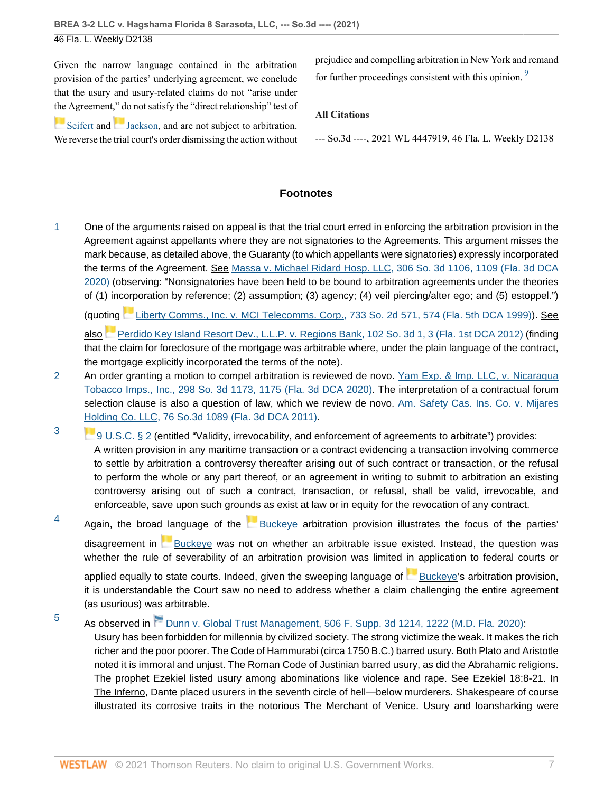Given the narrow language contained in the arbitration provision of the parties' underlying agreement, we conclude that the usury and usury-related claims do not "arise under [the](https://1.next.westlaw.com/Link/RelatedInformation/Flag?documentGuid=Iad1210980c8b11d98220e6fa99ecd085&transitionType=InlineKeyCiteFlags&originationContext=docHeaderFlag&Rank=0&ppcid=91f491f1e6ae482f99225bbbd4f11aef&contextData=(sc.Default) ) Agreement," do not satisfy the "direct relationship" test of

[Seifert](http://www.westlaw.com/Link/Document/FullText?findType=Y&serNum=1999255476&originatingDoc=If9a5dea0214511ec82c48db1050f9ba3&refType=RP&originationContext=document&vr=3.0&rs=cblt1.0&transitionType=DocumentItem&contextData=(sc.Default))and [Jackson,](http://www.westlaw.com/Link/Document/FullText?findType=Y&serNum=2029772512&originatingDoc=If9a5dea0214511ec82c48db1050f9ba3&refType=RP&originationContext=document&vr=3.0&rs=cblt1.0&transitionType=DocumentItem&contextData=(sc.Default)) and are not subject to arbitration. We reverse the trial court's order dismissing the action without <span id="page-7-5"></span>prejudice and compelling arbitration in New York and remand for further proceedings consistent with this opinion.<sup>[9](#page-8-3)</sup>

# **All Citations**

--- So.3d ----, 2021 WL 4447919, 46 Fla. L. Weekly D2138

# **Footnotes**

<span id="page-7-0"></span>[1](#page-2-0) One of the arguments raised on appeal is that the trial court erred in enforcing the arbitration provision in the Agreement against appellants where they are not signatories to the Agreements. This argument misses the mark because, as detailed above, the Guaranty (to which appellants were signatories) expressly incorporated the terms of the Agreement. See [Massa v. Michael Ridard Hosp. LLC, 306 So. 3d 1106, 1109 \(Fla. 3d DCA](http://www.westlaw.com/Link/Document/FullText?findType=Y&serNum=2051679255&pubNum=0003926&originatingDoc=If9a5dea0214511ec82c48db1050f9ba3&refType=RP&fi=co_pp_sp_3926_1109&originationContext=document&vr=3.0&rs=cblt1.0&transitionType=DocumentItem&contextData=(sc.Default)#co_pp_sp_3926_1109) [2020\)](http://www.westlaw.com/Link/Document/FullText?findType=Y&serNum=2051679255&pubNum=0003926&originatingDoc=If9a5dea0214511ec82c48db1050f9ba3&refType=RP&fi=co_pp_sp_3926_1109&originationContext=document&vr=3.0&rs=cblt1.0&transitionType=DocumentItem&contextData=(sc.Default)#co_pp_sp_3926_1109) (observing: "Nonsignatories have been held to be bound to arbitration agreements under the theories of (1) incorporation by reference; (2) assumption; (3) agency; (4) veil piercing/alter ego; and (5) estoppel.")

(quo[ting](https://1.next.westlaw.com/Link/RelatedInformation/Flag?documentGuid=Iffbb9d893e1011e1bd928e1973ff4e60&transitionType=InlineKeyCiteFlags&originationContext=docHeaderFlag&Rank=0&ppcid=91f491f1e6ae482f99225bbbd4f11aef&contextData=(sc.Default) ) [Liberty Comms., Inc. v. MCI Telecomms. Corp., 733 So. 2d 571, 574 \(Fla. 5th DCA 1999\)](http://www.westlaw.com/Link/Document/FullText?findType=Y&serNum=1999116442&pubNum=0000735&originatingDoc=If9a5dea0214511ec82c48db1050f9ba3&refType=RP&fi=co_pp_sp_735_574&originationContext=document&vr=3.0&rs=cblt1.0&transitionType=DocumentItem&contextData=(sc.Default)#co_pp_sp_735_574)). See also [Perdido Key Island Resort Dev., L.L.P. v. Regions Bank, 102 So. 3d 1, 3 \(Fla. 1st DCA 2012\)](http://www.westlaw.com/Link/Document/FullText?findType=Y&serNum=2026862269&pubNum=0003926&originatingDoc=If9a5dea0214511ec82c48db1050f9ba3&refType=RP&fi=co_pp_sp_3926_3&originationContext=document&vr=3.0&rs=cblt1.0&transitionType=DocumentItem&contextData=(sc.Default)#co_pp_sp_3926_3) (finding that the claim for foreclosure of the mortgage was arbitrable where, under the plain language of the contract, the mortgage explicitly incorporated the terms of the note).

- <span id="page-7-1"></span>[2](#page-2-1) An order granting a motion to compel arbitration is reviewed de novo. [Yam Exp. & Imp. LLC, v. Nicaragua](http://www.westlaw.com/Link/Document/FullText?findType=Y&serNum=2050243756&pubNum=0003926&originatingDoc=If9a5dea0214511ec82c48db1050f9ba3&refType=RP&fi=co_pp_sp_3926_1175&originationContext=document&vr=3.0&rs=cblt1.0&transitionType=DocumentItem&contextData=(sc.Default)#co_pp_sp_3926_1175) [Tobacco Imps., Inc., 298 So. 3d 1173, 1175 \(Fla. 3d DCA 2020\).](http://www.westlaw.com/Link/Document/FullText?findType=Y&serNum=2050243756&pubNum=0003926&originatingDoc=If9a5dea0214511ec82c48db1050f9ba3&refType=RP&fi=co_pp_sp_3926_1175&originationContext=document&vr=3.0&rs=cblt1.0&transitionType=DocumentItem&contextData=(sc.Default)#co_pp_sp_3926_1175) The interpretation of a contractual forum selection clause is also a question of law, which we review de novo. [Am. Safety Cas. Ins. Co. v. Mijares](http://www.westlaw.com/Link/Document/FullText?findType=Y&serNum=2026765905&pubNum=0003926&originatingDoc=If9a5dea0214511ec82c48db1050f9ba3&refType=RP&originationContext=document&vr=3.0&rs=cblt1.0&transitionType=DocumentItem&contextData=(sc.Default)) [Holding Co. LLC, 76 So.3d 1089 \(Fla. 3d DCA 2011\).](http://www.westlaw.com/Link/Document/FullText?findType=Y&serNum=2026765905&pubNum=0003926&originatingDoc=If9a5dea0214511ec82c48db1050f9ba3&refType=RP&originationContext=document&vr=3.0&rs=cblt1.0&transitionType=DocumentItem&contextData=(sc.Default))
- <span id="page-7-2"></span>[3](#page-2-2) [9 U.S.C. § 2](http://www.westlaw.com/Link/Document/FullText?findType=L&pubNum=1000546&cite=9USCAS2&originatingDoc=If9a5dea0214511ec82c48db1050f9ba3&refType=LQ&originationContext=document&vr=3.0&rs=cblt1.0&transitionType=DocumentItem&contextData=(sc.Default)) (entitled "Validity, irrevocability, and enforcement of agreements to arbitrate") provides: A written provision in any maritime transaction or a contract evidencing a transaction involving commerce to settle by arbitration a controversy thereafter arising out of such contract or transaction, or the refusal to perform the whole or any part thereof, or an agreement in writing to submit to arbitration an existing controversy arising out of such a contract, transaction, or refusal, shall be valid, irrevocable, and enforceable, save upon such grounds as exist at law or in equity for the revocation of any contract.

<span id="page-7-3"></span>[4](#page-5-0) Again, the broad language of the **[Buckeye](http://www.westlaw.com/Link/Document/FullText?findType=Y&serNum=2008492124&originatingDoc=If9a5dea0214511ec82c48db1050f9ba3&refType=RP&originationContext=document&vr=3.0&rs=cblt1.0&transitionType=DocumentItem&contextData=(sc.Default)) arbitration provision illustrates** the focus of the parties' disagreement in [Buckeye](http://www.westlaw.com/Link/Document/FullText?findType=Y&serNum=2008492124&originatingDoc=If9a5dea0214511ec82c48db1050f9ba3&refType=RP&originationContext=document&vr=3.0&rs=cblt1.0&transitionType=DocumentItem&contextData=(sc.Default)) was not on whether an arbitrable issue existed. Instead, the question was whether the rule of severability of an arbitration provision was limited in application to federal courts or

applied equally to state courts. Indeed, given the sweeping language of **[Buckeye](http://www.westlaw.com/Link/Document/FullText?findType=Y&serNum=2008492124&originatingDoc=If9a5dea0214511ec82c48db1050f9ba3&refType=RP&originationContext=document&vr=3.0&rs=cblt1.0&transitionType=DocumentItem&contextData=(sc.Default))'s arbitration provision**, it is understandable the Court saw no need to address whether a claim challenging the entire agreement (as usurious) was arbitrable.

<span id="page-7-4"></span>[5](#page-6-0) As observed in [Dunn v. Global Trust Management, 506 F. Supp. 3d 1214, 1222 \(M.D. Fla. 2020\)](http://www.westlaw.com/Link/Document/FullText?findType=Y&serNum=2052553833&pubNum=0007903&originatingDoc=If9a5dea0214511ec82c48db1050f9ba3&refType=RP&fi=co_pp_sp_7903_1222&originationContext=document&vr=3.0&rs=cblt1.0&transitionType=DocumentItem&contextData=(sc.Default)#co_pp_sp_7903_1222): Usury has been forbidden for millennia by civilized society. The strong victimize the weak. It makes the rich richer and the poor poorer. The Code of Hammurabi (circa 1750 B.C.) barred usury. Both Plato and Aristotle noted it is immoral and unjust. The Roman Code of Justinian barred usury, as did the Abrahamic religions. The prophet Ezekiel listed usury among abominations like violence and rape. See Ezekiel 18:8-21. In The Inferno, Dante placed usurers in the seventh circle of hell—below murderers. Shakespeare of course illustrated its corrosive traits in the notorious The Merchant of Venice. Usury and loansharking were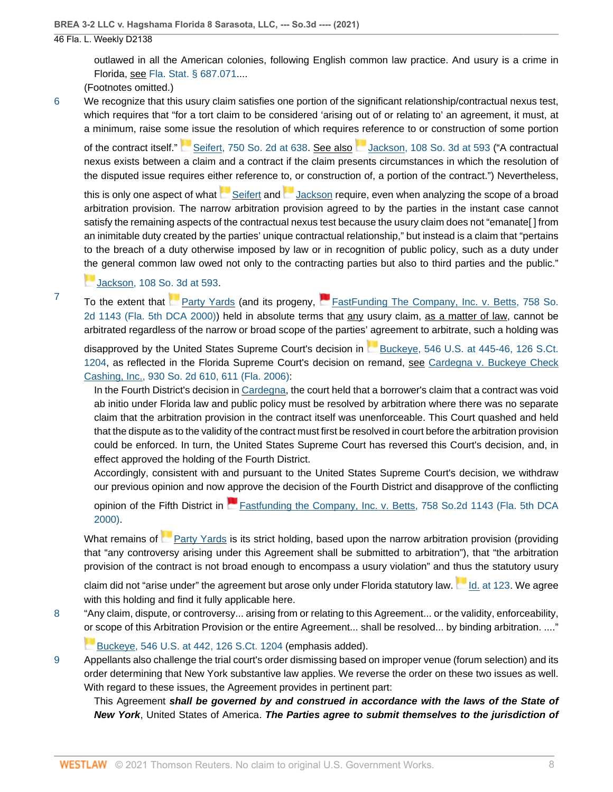<span id="page-8-1"></span>[7](#page-6-2)

outlawed in all the American colonies, following English common law practice. And usury is a crime in Florida, see [Fla. Stat. § 687.071](http://www.westlaw.com/Link/Document/FullText?findType=L&pubNum=1000006&cite=FLSTS687.071&originatingDoc=If9a5dea0214511ec82c48db1050f9ba3&refType=LQ&originationContext=document&vr=3.0&rs=cblt1.0&transitionType=DocumentItem&contextData=(sc.Default))....

(Footnotes omitted.)

<span id="page-8-0"></span>[6](#page-6-1) We recognize that this usury claim satisfies one portion of the significant relationship/contractual nexus test, which requires that "for a tort claim to be considered 'arising out of or relating to' an agreement, it must, at a minimum, raise some issue the resolution of which require[s re](https://1.next.westlaw.com/Link/RelatedInformation/Flag?documentGuid=I7a5b96416ba311e2900d8cbbe5df030a&transitionType=InlineKeyCiteFlags&originationContext=docHeaderFlag&Rank=0&ppcid=91f491f1e6ae482f99225bbbd4f11aef&contextData=(sc.Default) )ference to or construction of some portion

ofthe contract itself." [Seifert, 750 So. 2d at 638](http://www.westlaw.com/Link/Document/FullText?findType=Y&serNum=1999255476&pubNum=0000735&originatingDoc=If9a5dea0214511ec82c48db1050f9ba3&refType=RP&fi=co_pp_sp_735_638&originationContext=document&vr=3.0&rs=cblt1.0&transitionType=DocumentItem&contextData=(sc.Default)#co_pp_sp_735_638). See also [Jackson, 108 So. 3d at 593](http://www.westlaw.com/Link/Document/FullText?findType=Y&serNum=2029772512&pubNum=0003926&originatingDoc=If9a5dea0214511ec82c48db1050f9ba3&refType=RP&fi=co_pp_sp_3926_593&originationContext=document&vr=3.0&rs=cblt1.0&transitionType=DocumentItem&contextData=(sc.Default)#co_pp_sp_3926_593) ("A contractual nexus exists between a claim and a contract if the claim presents circumstances in which the resolution of the disputed issue requires either reference to, or construction of, a portion of the contract.") Nevertheless,

thisis only one aspect of what  $\blacksquare$  [Seifert](http://www.westlaw.com/Link/Document/FullText?findType=Y&serNum=1999255476&originatingDoc=If9a5dea0214511ec82c48db1050f9ba3&refType=RP&originationContext=document&vr=3.0&rs=cblt1.0&transitionType=DocumentItem&contextData=(sc.Default)) and  $\blacksquare$  [Jackson](http://www.westlaw.com/Link/Document/FullText?findType=Y&serNum=2029772512&originatingDoc=If9a5dea0214511ec82c48db1050f9ba3&refType=RP&originationContext=document&vr=3.0&rs=cblt1.0&transitionType=DocumentItem&contextData=(sc.Default)) require, even when analyzing the scope of a broad arbitration provision. The narrow arbitration provision agreed to by the parties in the instant case cannot satisfy the remaining aspects of the contractual nexus test because the usury claim does not "emanate[ ] from an inimitable duty created by the parties' unique contractual relationship," but instead is a claim that "pertains to the breach of a duty otherwise imposed by law or in recognition of public policy, such as a duty under [the](https://1.next.westlaw.com/Link/RelatedInformation/Flag?documentGuid=I7a5b96416ba311e2900d8cbbe5df030a&transitionType=InlineKeyCiteFlags&originationContext=docHeaderFlag&Rank=0&ppcid=91f491f1e6ae482f99225bbbd4f11aef&contextData=(sc.Default) ) general common law owed not only to the contracting parties but also to third parties and the public."

[Jackson, 108 So. 3d at 593.](http://www.westlaw.com/Link/Document/FullText?findType=Y&serNum=2029772512&pubNum=0003926&originatingDoc=If9a5dea0214511ec82c48db1050f9ba3&refType=RP&fi=co_pp_sp_3926_593&originationContext=document&vr=3.0&rs=cblt1.0&transitionType=DocumentItem&contextData=(sc.Default)#co_pp_sp_3926_593)

To the extent that **[Party Yards](http://www.westlaw.com/Link/Document/FullText?findType=Y&serNum=2000027286&originatingDoc=If9a5dea0214511ec82c48db1050f9ba3&refType=RP&originationContext=document&vr=3.0&rs=cblt1.0&transitionType=DocumentItem&contextData=(sc.Default)) (and its progeny, [FastFunding The Company, Inc. v. Betts, 758 So.](http://www.westlaw.com/Link/Document/FullText?findType=Y&serNum=2000088837&pubNum=0000735&originatingDoc=If9a5dea0214511ec82c48db1050f9ba3&refType=RP&originationContext=document&vr=3.0&rs=cblt1.0&transitionType=DocumentItem&contextData=(sc.Default))** [2d 1143 \(Fla. 5th DCA 2000\)\)](http://www.westlaw.com/Link/Document/FullText?findType=Y&serNum=2000088837&pubNum=0000735&originatingDoc=If9a5dea0214511ec82c48db1050f9ba3&refType=RP&originationContext=document&vr=3.0&rs=cblt1.0&transitionType=DocumentItem&contextData=(sc.Default)) held in absolute terms that any usury claim, as a matter of law, cannot be arbitrated regardless of the narrow or broad scope of the parties' agreement to arbitrate, such a holding was

disapproved by the United States Supreme Court's decision in [Buckeye, 546 U.S. at 445-46, 126 S.Ct.](http://www.westlaw.com/Link/Document/FullText?findType=Y&serNum=2008492124&pubNum=0000780&originatingDoc=If9a5dea0214511ec82c48db1050f9ba3&refType=RP&fi=co_pp_sp_780_445&originationContext=document&vr=3.0&rs=cblt1.0&transitionType=DocumentItem&contextData=(sc.Default)#co_pp_sp_780_445) [1204](http://www.westlaw.com/Link/Document/FullText?findType=Y&serNum=2008492124&pubNum=0000780&originatingDoc=If9a5dea0214511ec82c48db1050f9ba3&refType=RP&fi=co_pp_sp_780_445&originationContext=document&vr=3.0&rs=cblt1.0&transitionType=DocumentItem&contextData=(sc.Default)#co_pp_sp_780_445), as reflected in the Florida Supreme Court's decision on remand, see [Cardegna v. Buckeye Check](http://www.westlaw.com/Link/Document/FullText?findType=Y&serNum=2009138468&pubNum=0000735&originatingDoc=If9a5dea0214511ec82c48db1050f9ba3&refType=RP&fi=co_pp_sp_735_611&originationContext=document&vr=3.0&rs=cblt1.0&transitionType=DocumentItem&contextData=(sc.Default)#co_pp_sp_735_611) [Cashing, Inc., 930 So. 2d 610, 611 \(Fla. 2006\)](http://www.westlaw.com/Link/Document/FullText?findType=Y&serNum=2009138468&pubNum=0000735&originatingDoc=If9a5dea0214511ec82c48db1050f9ba3&refType=RP&fi=co_pp_sp_735_611&originationContext=document&vr=3.0&rs=cblt1.0&transitionType=DocumentItem&contextData=(sc.Default)#co_pp_sp_735_611):

In the Fourth District's decision in [Cardegna](http://www.westlaw.com/Link/Document/FullText?findType=Y&serNum=2009138468&pubNum=0000735&originatingDoc=If9a5dea0214511ec82c48db1050f9ba3&refType=RP&originationContext=document&vr=3.0&rs=cblt1.0&transitionType=DocumentItem&contextData=(sc.Default)), the court held that a borrower's claim that a contract was void ab initio under Florida law and public policy must be resolved by arbitration where there was no separate claim that the arbitration provision in the contract itself was unenforceable. This Court quashed and held that the dispute as to the validity of the contract must first be resolved in court before the arbitration provision could be enforced. In turn, the United States Supreme Court has reversed this Court's decision, and, in effect approved the holding of the Fourth District.

Accordingly, consistent with and pursuant to the United States Supreme Court's decision, we withdraw our previous opinion and now approve the decision of the Fourth District and disapprove of the conflicting

opinion of the Fifth District in [Fastfunding the Company, Inc. v. Betts, 758 So.2d 1143 \(Fla. 5th DCA](http://www.westlaw.com/Link/Document/FullText?findType=Y&serNum=2000088837&pubNum=0000735&originatingDoc=If9a5dea0214511ec82c48db1050f9ba3&refType=RP&originationContext=document&vr=3.0&rs=cblt1.0&transitionType=DocumentItem&contextData=(sc.Default)) [2000\).](http://www.westlaw.com/Link/Document/FullText?findType=Y&serNum=2000088837&pubNum=0000735&originatingDoc=If9a5dea0214511ec82c48db1050f9ba3&refType=RP&originationContext=document&vr=3.0&rs=cblt1.0&transitionType=DocumentItem&contextData=(sc.Default))

What remains of [Party Yards](http://www.westlaw.com/Link/Document/FullText?findType=Y&serNum=2000027286&originatingDoc=If9a5dea0214511ec82c48db1050f9ba3&refType=RP&originationContext=document&vr=3.0&rs=cblt1.0&transitionType=DocumentItem&contextData=(sc.Default)) is its strict holding, based upon the narrow arbitration provision (providing that "any controversy arising under this Agreement shall be submitted to arbitration"), that "the arbitration provision of the contract is not broad enough to encompass a usury violation" and thus the statutory usury

claim did not "arise under" the agreement but arose only under Florida statutory law. [Id. at 123.](http://www.westlaw.com/Link/Document/FullText?findType=Y&serNum=2000027286&pubNum=0000735&originatingDoc=If9a5dea0214511ec82c48db1050f9ba3&refType=RP&fi=co_pp_sp_735_123&originationContext=document&vr=3.0&rs=cblt1.0&transitionType=DocumentItem&contextData=(sc.Default)#co_pp_sp_735_123) We agree with this holding and find it fully applicable here.

<span id="page-8-2"></span>[8](#page-6-3) "Any claim, dispute, or controversy... arising from or relating to this Agreement... or the validity, enforceability, [or s](https://1.next.westlaw.com/Link/RelatedInformation/Flag?documentGuid=I68510fc5a2ee11daa20eccddde63d628&transitionType=InlineKeyCiteFlags&originationContext=docHeaderFlag&Rank=0&ppcid=91f491f1e6ae482f99225bbbd4f11aef&contextData=(sc.Default) )cope of this Arbitration Provision or the entire Agreement... shall be resolved... by binding arbitration. ...."

[Buckeye, 546 U.S. at 442, 126 S.Ct. 1204](http://www.westlaw.com/Link/Document/FullText?findType=Y&serNum=2008492124&pubNum=0000780&originatingDoc=If9a5dea0214511ec82c48db1050f9ba3&refType=RP&fi=co_pp_sp_780_442&originationContext=document&vr=3.0&rs=cblt1.0&transitionType=DocumentItem&contextData=(sc.Default)#co_pp_sp_780_442) (emphasis added).

<span id="page-8-3"></span>[9](#page-7-5) Appellants also challenge the trial court's order dismissing based on improper venue (forum selection) and its order determining that New York substantive law applies. We reverse the order on these two issues as well. With regard to these issues, the Agreement provides in pertinent part:

This Agreement **shall be governed by and construed in accordance with the laws of the State of New York**, United States of America. **The Parties agree to submit themselves to the jurisdiction of**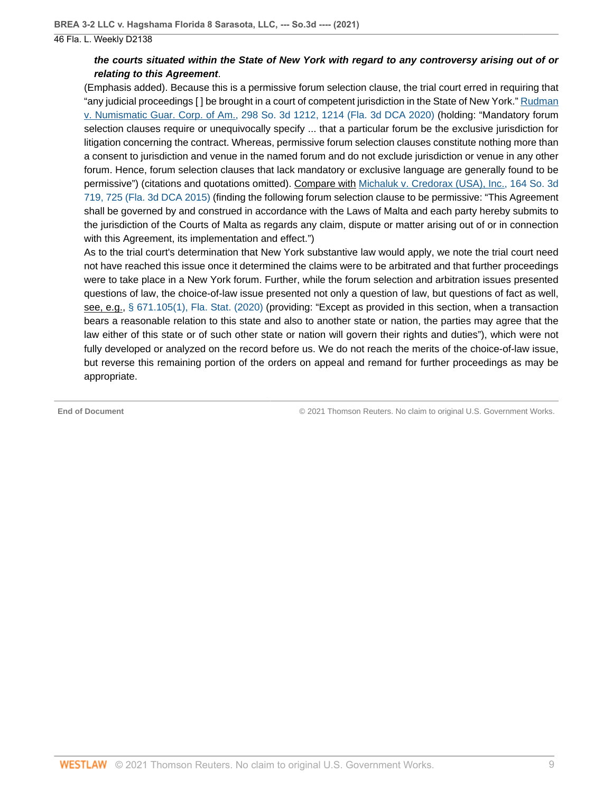# **the courts situated within the State of New York with regard to any controversy arising out of or relating to this Agreement**.

(Emphasis added). Because this is a permissive forum selection clause, the trial court erred in requiring that "any judicial proceedings [ ] be brought in a court of competent jurisdiction in the State of New York." [Rudman](http://www.westlaw.com/Link/Document/FullText?findType=Y&serNum=2050344084&pubNum=0003926&originatingDoc=If9a5dea0214511ec82c48db1050f9ba3&refType=RP&fi=co_pp_sp_3926_1214&originationContext=document&vr=3.0&rs=cblt1.0&transitionType=DocumentItem&contextData=(sc.Default)#co_pp_sp_3926_1214) [v. Numismatic Guar. Corp. of Am., 298 So. 3d 1212, 1214 \(Fla. 3d DCA 2020\)](http://www.westlaw.com/Link/Document/FullText?findType=Y&serNum=2050344084&pubNum=0003926&originatingDoc=If9a5dea0214511ec82c48db1050f9ba3&refType=RP&fi=co_pp_sp_3926_1214&originationContext=document&vr=3.0&rs=cblt1.0&transitionType=DocumentItem&contextData=(sc.Default)#co_pp_sp_3926_1214) (holding: "Mandatory forum selection clauses require or unequivocally specify ... that a particular forum be the exclusive jurisdiction for litigation concerning the contract. Whereas, permissive forum selection clauses constitute nothing more than a consent to jurisdiction and venue in the named forum and do not exclude jurisdiction or venue in any other forum. Hence, forum selection clauses that lack mandatory or exclusive language are generally found to be permissive") (citations and quotations omitted). Compare with [Michaluk v. Credorax \(USA\), Inc., 164 So. 3d](http://www.westlaw.com/Link/Document/FullText?findType=Y&serNum=2036260003&pubNum=0003926&originatingDoc=If9a5dea0214511ec82c48db1050f9ba3&refType=RP&fi=co_pp_sp_3926_725&originationContext=document&vr=3.0&rs=cblt1.0&transitionType=DocumentItem&contextData=(sc.Default)#co_pp_sp_3926_725) [719, 725 \(Fla. 3d DCA 2015\)](http://www.westlaw.com/Link/Document/FullText?findType=Y&serNum=2036260003&pubNum=0003926&originatingDoc=If9a5dea0214511ec82c48db1050f9ba3&refType=RP&fi=co_pp_sp_3926_725&originationContext=document&vr=3.0&rs=cblt1.0&transitionType=DocumentItem&contextData=(sc.Default)#co_pp_sp_3926_725) (finding the following forum selection clause to be permissive: "This Agreement shall be governed by and construed in accordance with the Laws of Malta and each party hereby submits to the jurisdiction of the Courts of Malta as regards any claim, dispute or matter arising out of or in connection with this Agreement, its implementation and effect.")

As to the trial court's determination that New York substantive law would apply, we note the trial court need not have reached this issue once it determined the claims were to be arbitrated and that further proceedings were to take place in a New York forum. Further, while the forum selection and arbitration issues presented questions of law, the choice-of-law issue presented not only a question of law, but questions of fact as well, see, e.g., [§ 671.105\(1\), Fla. Stat. \(2020\)](http://www.westlaw.com/Link/Document/FullText?findType=L&pubNum=1000006&cite=FLSTS671.105&originatingDoc=If9a5dea0214511ec82c48db1050f9ba3&refType=SP&originationContext=document&vr=3.0&rs=cblt1.0&transitionType=DocumentItem&contextData=(sc.Default)#co_pp_f1c50000821b0) (providing: "Except as provided in this section, when a transaction bears a reasonable relation to this state and also to another state or nation, the parties may agree that the law either of this state or of such other state or nation will govern their rights and duties"), which were not fully developed or analyzed on the record before us. We do not reach the merits of the choice-of-law issue, but reverse this remaining portion of the orders on appeal and remand for further proceedings as may be appropriate.

**End of Document** © 2021 Thomson Reuters. No claim to original U.S. Government Works.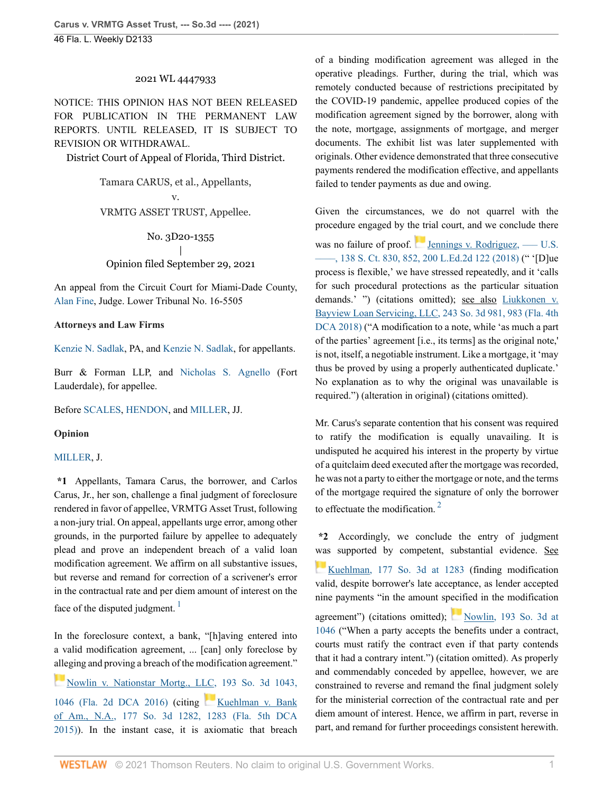### 2021 WL 4447933

NOTICE: THIS OPINION HAS NOT BEEN RELEASED FOR PUBLICATION IN THE PERMANENT LAW REPORTS. UNTIL RELEASED, IT IS SUBJECT TO REVISION OR WITHDRAWAL.

District Court of Appeal of Florida, Third District.

### Tamara CARUS, et al., Appellants,

v.

### VRMTG ASSET TRUST, Appellee.

#### No. 3D20-1355

### | Opinion filed September 29, 2021

An appeal from the Circuit Court for Miami-Dade County, [Alan Fine,](http://www.westlaw.com/Link/Document/FullText?findType=h&pubNum=176284&cite=0210895001&originatingDoc=I30d53830214611ecbd8884665a0a0e65&refType=RQ&originationContext=document&vr=3.0&rs=cblt1.0&transitionType=DocumentItem&contextData=(sc.Default)) Judge. Lower Tribunal No. 16-5505

#### **Attorneys and Law Firms**

[Kenzie N. Sadlak](http://www.westlaw.com/Link/Document/FullText?findType=h&pubNum=176284&cite=0421502401&originatingDoc=I30d53830214611ecbd8884665a0a0e65&refType=RQ&originationContext=document&vr=3.0&rs=cblt1.0&transitionType=DocumentItem&contextData=(sc.Default)), PA, and [Kenzie N. Sadlak](http://www.westlaw.com/Link/Document/FullText?findType=h&pubNum=176284&cite=0421502401&originatingDoc=I30d53830214611ecbd8884665a0a0e65&refType=RQ&originationContext=document&vr=3.0&rs=cblt1.0&transitionType=DocumentItem&contextData=(sc.Default)), for appellants.

Burr & Forman LLP, and [Nicholas S. Agnello](http://www.westlaw.com/Link/Document/FullText?findType=h&pubNum=176284&cite=0452047901&originatingDoc=I30d53830214611ecbd8884665a0a0e65&refType=RQ&originationContext=document&vr=3.0&rs=cblt1.0&transitionType=DocumentItem&contextData=(sc.Default)) (Fort Lauderdale), for appellee.

Before [SCALES,](http://www.westlaw.com/Link/Document/FullText?findType=h&pubNum=176284&cite=0259065301&originatingDoc=I30d53830214611ecbd8884665a0a0e65&refType=RQ&originationContext=document&vr=3.0&rs=cblt1.0&transitionType=DocumentItem&contextData=(sc.Default)) [HENDON](http://www.westlaw.com/Link/Document/FullText?findType=h&pubNum=176284&cite=0276930201&originatingDoc=I30d53830214611ecbd8884665a0a0e65&refType=RQ&originationContext=document&vr=3.0&rs=cblt1.0&transitionType=DocumentItem&contextData=(sc.Default)), and [MILLER](http://www.westlaw.com/Link/Document/FullText?findType=h&pubNum=176284&cite=0356391901&originatingDoc=I30d53830214611ecbd8884665a0a0e65&refType=RQ&originationContext=document&vr=3.0&rs=cblt1.0&transitionType=DocumentItem&contextData=(sc.Default)), JJ.

### **Opinion**

#### [MILLER](http://www.westlaw.com/Link/Document/FullText?findType=h&pubNum=176284&cite=0356391901&originatingDoc=I30d53830214611ecbd8884665a0a0e65&refType=RQ&originationContext=document&vr=3.0&rs=cblt1.0&transitionType=DocumentItem&contextData=(sc.Default)), J.

**\*1** Appellants, Tamara Carus, the borrower, and Carlos Carus, Jr., her son, challenge a final judgment of foreclosure rendered in favor of appellee, VRMTG Asset Trust, following a non-jury trial. On appeal, appellants urge error, among other grounds, in the purported failure by appellee to adequately plead and prove an independent breach of a valid loan modification agreement. We affirm on all substantive issues, but reverse and remand for correction of a scrivener's error in the contractual rate and per diem amount of interest on the face of the disputed judgment.  $\frac{1}{1}$  $\frac{1}{1}$  $\frac{1}{1}$ 

<span id="page-10-0"></span>In the foreclosure context, a bank, "[h]aving entered into a valid modification agreement, ... [can] only foreclose by [alle](https://1.next.westlaw.com/Link/RelatedInformation/Flag?documentGuid=I4397785d2f2e11e6a795ac035416da91&transitionType=InlineKeyCiteFlags&originationContext=docHeaderFlag&Rank=0&ppcid=087da06aa8d94ac6ad2eed1fa2b00761&contextData=(sc.Default) )ging and proving a breach of the modification agreement."

[Nowlin v. Nationstar Mortg., LLC, 193 So. 3d 1043,](http://www.westlaw.com/Link/Document/FullText?findType=Y&serNum=2039146637&pubNum=0003926&originatingDoc=I30d53830214611ecbd8884665a0a0e65&refType=RP&fi=co_pp_sp_3926_1046&originationContext=document&vr=3.0&rs=cblt1.0&transitionType=DocumentItem&contextData=(sc.Default)#co_pp_sp_3926_1046) [1046 \(Fla. 2d DCA 2016\)](http://www.westlaw.com/Link/Document/FullText?findType=Y&serNum=2039146637&pubNum=0003926&originatingDoc=I30d53830214611ecbd8884665a0a0e65&refType=RP&fi=co_pp_sp_3926_1046&originationContext=document&vr=3.0&rs=cblt1.0&transitionType=DocumentItem&contextData=(sc.Default)#co_pp_sp_3926_1046) (citing [Kuehlman v. Bank](http://www.westlaw.com/Link/Document/FullText?findType=Y&serNum=2037485035&pubNum=0003926&originatingDoc=I30d53830214611ecbd8884665a0a0e65&refType=RP&fi=co_pp_sp_3926_1283&originationContext=document&vr=3.0&rs=cblt1.0&transitionType=DocumentItem&contextData=(sc.Default)#co_pp_sp_3926_1283) [of Am., N.A., 177 So. 3d 1282, 1283 \(Fla. 5th DCA](http://www.westlaw.com/Link/Document/FullText?findType=Y&serNum=2037485035&pubNum=0003926&originatingDoc=I30d53830214611ecbd8884665a0a0e65&refType=RP&fi=co_pp_sp_3926_1283&originationContext=document&vr=3.0&rs=cblt1.0&transitionType=DocumentItem&contextData=(sc.Default)#co_pp_sp_3926_1283) [2015\)](http://www.westlaw.com/Link/Document/FullText?findType=Y&serNum=2037485035&pubNum=0003926&originatingDoc=I30d53830214611ecbd8884665a0a0e65&refType=RP&fi=co_pp_sp_3926_1283&originationContext=document&vr=3.0&rs=cblt1.0&transitionType=DocumentItem&contextData=(sc.Default)#co_pp_sp_3926_1283)). In the instant case, it is axiomatic that breach of a binding modification agreement was alleged in the operative pleadings. Further, during the trial, which was remotely conducted because of restrictions precipitated by the COVID-19 pandemic, appellee produced copies of the modification agreement signed by the borrower, along with the note, mortgage, assignments of mortgage, and merger documents. The exhibit list was later supplemented with originals. Other evidence demonstrated that three consecutive payments rendered the modification effective, and appellants failed to tender payments as due and owing.

Given the circumstances, we do not quarrel with the procedure engaged by the trial court, and we conclude there was no failure of proof. Jennings v. Rodriguez,  $\sim$  U.S. [––––, 138 S. Ct. 830, 852, 200 L.Ed.2d 122 \(2018\)](http://www.westlaw.com/Link/Document/FullText?findType=Y&serNum=2043897479&pubNum=0000708&originatingDoc=I30d53830214611ecbd8884665a0a0e65&refType=RP&fi=co_pp_sp_708_852&originationContext=document&vr=3.0&rs=cblt1.0&transitionType=DocumentItem&contextData=(sc.Default)#co_pp_sp_708_852) (" '[D]ue process is flexible,' we have stressed repeatedly, and it 'calls for such procedural protections as the particular situation demands.' ") (citations omitted); see also [Liukkonen v.](http://www.westlaw.com/Link/Document/FullText?findType=Y&serNum=2044170825&pubNum=0003926&originatingDoc=I30d53830214611ecbd8884665a0a0e65&refType=RP&fi=co_pp_sp_3926_983&originationContext=document&vr=3.0&rs=cblt1.0&transitionType=DocumentItem&contextData=(sc.Default)#co_pp_sp_3926_983) [Bayview Loan Servicing, LLC, 243 So. 3d 981, 983 \(Fla. 4th](http://www.westlaw.com/Link/Document/FullText?findType=Y&serNum=2044170825&pubNum=0003926&originatingDoc=I30d53830214611ecbd8884665a0a0e65&refType=RP&fi=co_pp_sp_3926_983&originationContext=document&vr=3.0&rs=cblt1.0&transitionType=DocumentItem&contextData=(sc.Default)#co_pp_sp_3926_983) [DCA 2018\)](http://www.westlaw.com/Link/Document/FullText?findType=Y&serNum=2044170825&pubNum=0003926&originatingDoc=I30d53830214611ecbd8884665a0a0e65&refType=RP&fi=co_pp_sp_3926_983&originationContext=document&vr=3.0&rs=cblt1.0&transitionType=DocumentItem&contextData=(sc.Default)#co_pp_sp_3926_983) ("A modification to a note, while 'as much a part of the parties' agreement [i.e., its terms] as the original note,' is not, itself, a negotiable instrument. Like a mortgage, it 'may thus be proved by using a properly authenticated duplicate.' No explanation as to why the original was unavailable is required.") (alteration in original) (citations omitted).

Mr. Carus's separate contention that his consent was required to ratify the modification is equally unavailing. It is undisputed he acquired his interest in the property by virtue of a quitclaim deed executed after the mortgage was recorded, he was not a party to either the mortgage or note, and the terms of the mortgage required the signature of only the borrower to effectuate the modification. [2](#page-11-1)

<span id="page-10-1"></span>**\*2** Accordingly, we conclude the entry of judgment [was](https://1.next.westlaw.com/Link/RelatedInformation/Flag?documentGuid=I7e2c3d437f1411e5a807ad48145ed9f1&transitionType=InlineKeyCiteFlags&originationContext=docHeaderFlag&Rank=0&ppcid=087da06aa8d94ac6ad2eed1fa2b00761&contextData=(sc.Default) ) supported by competent, substantial evidence. See [Kuehlman, 177 So. 3d at 1283](http://www.westlaw.com/Link/Document/FullText?findType=Y&serNum=2037485035&pubNum=0003926&originatingDoc=I30d53830214611ecbd8884665a0a0e65&refType=RP&fi=co_pp_sp_3926_1283&originationContext=document&vr=3.0&rs=cblt1.0&transitionType=DocumentItem&contextData=(sc.Default)#co_pp_sp_3926_1283) (finding modification valid, despite borrower's late acceptance, as lender accepted nine payments "in the amount specified in the modification agreement") (citations omitted); [Nowlin, 193 So. 3d at](http://www.westlaw.com/Link/Document/FullText?findType=Y&serNum=2039146637&pubNum=0003926&originatingDoc=I30d53830214611ecbd8884665a0a0e65&refType=RP&fi=co_pp_sp_3926_1046&originationContext=document&vr=3.0&rs=cblt1.0&transitionType=DocumentItem&contextData=(sc.Default)#co_pp_sp_3926_1046) [1046](http://www.westlaw.com/Link/Document/FullText?findType=Y&serNum=2039146637&pubNum=0003926&originatingDoc=I30d53830214611ecbd8884665a0a0e65&refType=RP&fi=co_pp_sp_3926_1046&originationContext=document&vr=3.0&rs=cblt1.0&transitionType=DocumentItem&contextData=(sc.Default)#co_pp_sp_3926_1046) ("When a party accepts the benefits under a contract, courts must ratify the contract even if that party contends that it had a contrary intent.") (citation omitted). As properly and commendably conceded by appellee, however, we are constrained to reverse and remand the final judgment solely for the ministerial correction of the contractual rate and per diem amount of interest. Hence, we affirm in part, reverse in part, and remand for further proceedings consistent herewith.